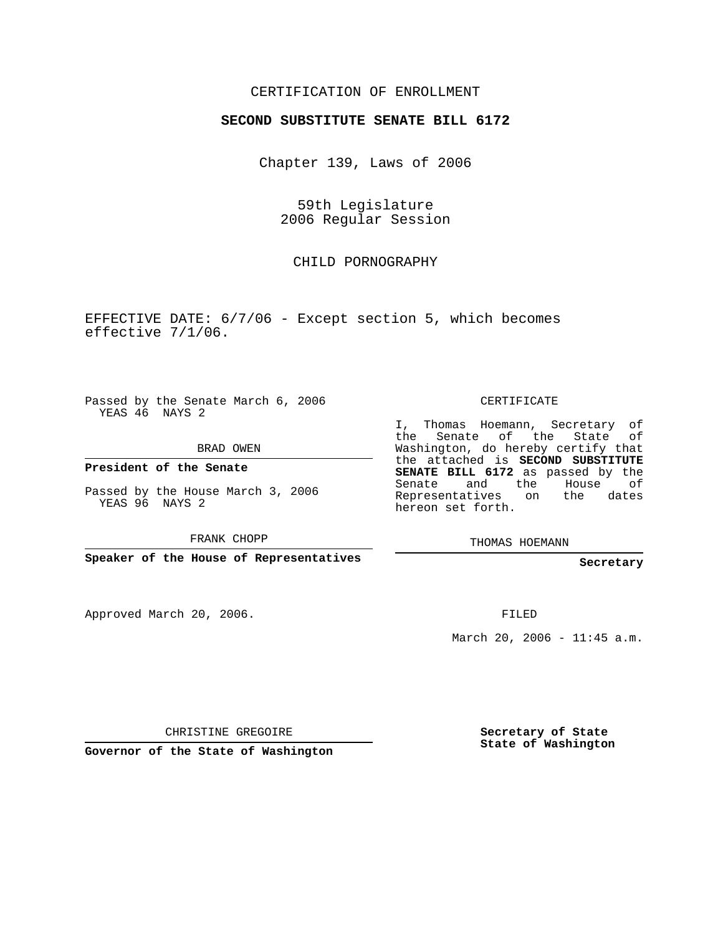## CERTIFICATION OF ENROLLMENT

#### **SECOND SUBSTITUTE SENATE BILL 6172**

Chapter 139, Laws of 2006

59th Legislature 2006 Regular Session

## CHILD PORNOGRAPHY

EFFECTIVE DATE: 6/7/06 - Except section 5, which becomes effective 7/1/06.

Passed by the Senate March 6, 2006 YEAS 46 NAYS 2

BRAD OWEN

**President of the Senate**

Passed by the House March 3, 2006 YEAS 96 NAYS 2

FRANK CHOPP

**Speaker of the House of Representatives**

Approved March 20, 2006.

CERTIFICATE

I, Thomas Hoemann, Secretary of the Senate of the State of Washington, do hereby certify that the attached is **SECOND SUBSTITUTE SENATE BILL 6172** as passed by the Senate and the House of Representatives on the dates hereon set forth.

THOMAS HOEMANN

**Secretary**

FILED

March 20, 2006 - 11:45 a.m.

CHRISTINE GREGOIRE

**Governor of the State of Washington**

**Secretary of State State of Washington**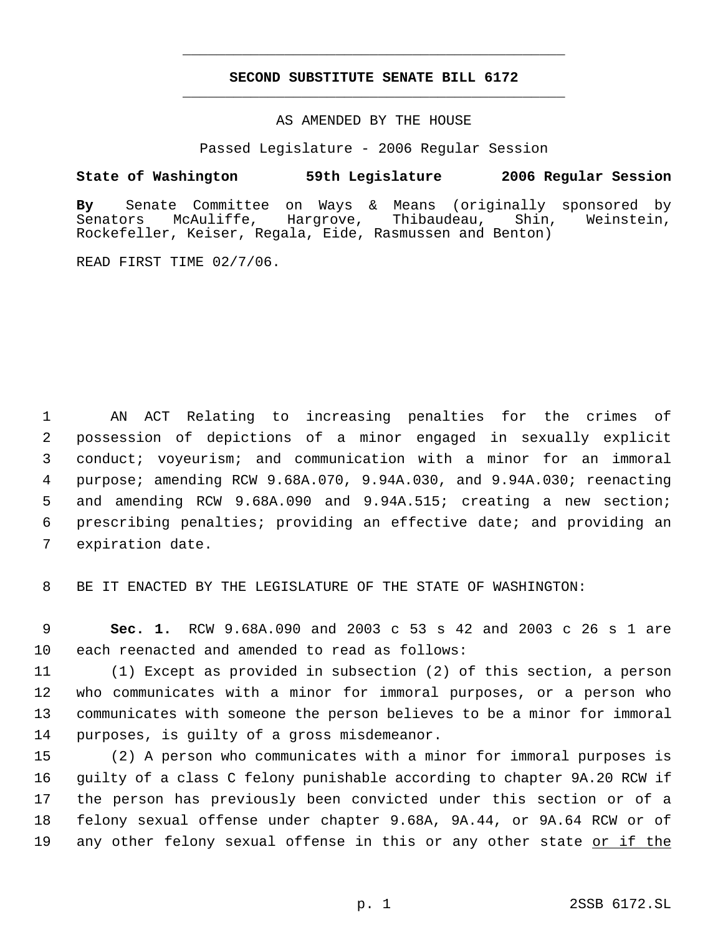# **SECOND SUBSTITUTE SENATE BILL 6172** \_\_\_\_\_\_\_\_\_\_\_\_\_\_\_\_\_\_\_\_\_\_\_\_\_\_\_\_\_\_\_\_\_\_\_\_\_\_\_\_\_\_\_\_\_

\_\_\_\_\_\_\_\_\_\_\_\_\_\_\_\_\_\_\_\_\_\_\_\_\_\_\_\_\_\_\_\_\_\_\_\_\_\_\_\_\_\_\_\_\_

AS AMENDED BY THE HOUSE

Passed Legislature - 2006 Regular Session

### **State of Washington 59th Legislature 2006 Regular Session**

**By** Senate Committee on Ways & Means (originally sponsored by Senators McAuliffe, Hargrove, Thibaudeau, Shin, Weinstein, Rockefeller, Keiser, Regala, Eide, Rasmussen and Benton)

READ FIRST TIME 02/7/06.

 AN ACT Relating to increasing penalties for the crimes of possession of depictions of a minor engaged in sexually explicit conduct; voyeurism; and communication with a minor for an immoral purpose; amending RCW 9.68A.070, 9.94A.030, and 9.94A.030; reenacting and amending RCW 9.68A.090 and 9.94A.515; creating a new section; prescribing penalties; providing an effective date; and providing an expiration date.

8 BE IT ENACTED BY THE LEGISLATURE OF THE STATE OF WASHINGTON:

 9 **Sec. 1.** RCW 9.68A.090 and 2003 c 53 s 42 and 2003 c 26 s 1 are 10 each reenacted and amended to read as follows:

 (1) Except as provided in subsection (2) of this section, a person who communicates with a minor for immoral purposes, or a person who communicates with someone the person believes to be a minor for immoral purposes, is guilty of a gross misdemeanor.

 (2) A person who communicates with a minor for immoral purposes is guilty of a class C felony punishable according to chapter 9A.20 RCW if the person has previously been convicted under this section or of a felony sexual offense under chapter 9.68A, 9A.44, or 9A.64 RCW or of 19 any other felony sexual offense in this or any other state <u>or if the</u>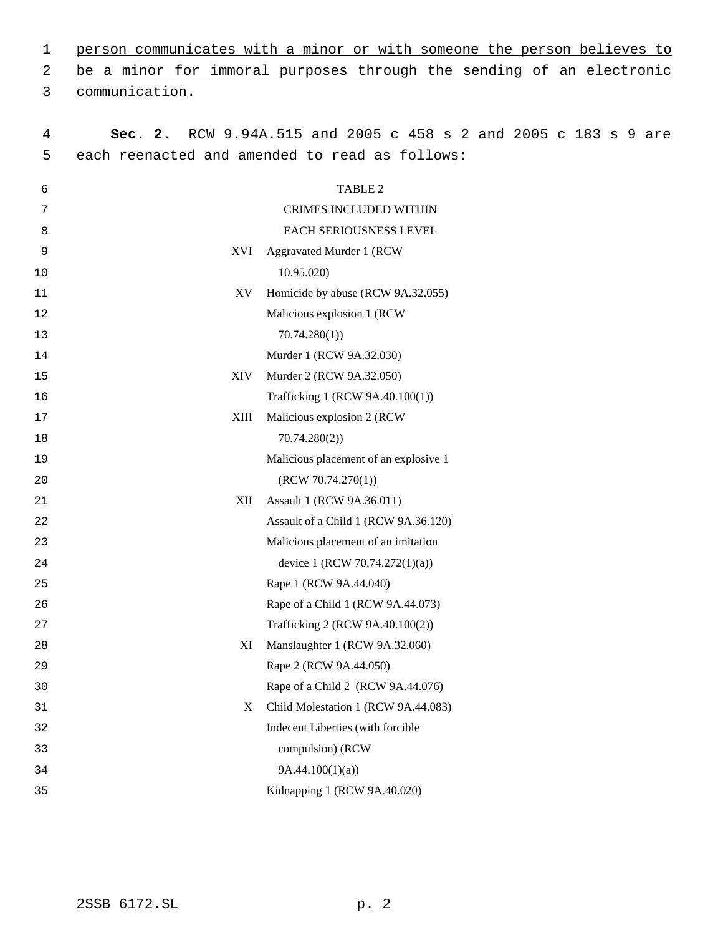| 1              | person communicates with a minor or with someone the person believes to |                                                         |  |  |  |
|----------------|-------------------------------------------------------------------------|---------------------------------------------------------|--|--|--|
| 2              | be a minor for immoral purposes through the sending of an electronic    |                                                         |  |  |  |
| 3              | communication.                                                          |                                                         |  |  |  |
|                |                                                                         |                                                         |  |  |  |
| $\overline{4}$ | Sec. 2.                                                                 | RCW 9.94A.515 and 2005 c 458 s 2 and 2005 c 183 s 9 are |  |  |  |
| 5              |                                                                         | each reenacted and amended to read as follows:          |  |  |  |
| 6              | TABLE 2                                                                 |                                                         |  |  |  |
| 7              | <b>CRIMES INCLUDED WITHIN</b>                                           |                                                         |  |  |  |
| 8              |                                                                         | EACH SERIOUSNESS LEVEL                                  |  |  |  |
| 9              | XVI                                                                     | <b>Aggravated Murder 1 (RCW</b>                         |  |  |  |
| 10             |                                                                         | 10.95.020)                                              |  |  |  |
| 11             | XV                                                                      | Homicide by abuse (RCW 9A.32.055)                       |  |  |  |
| 12             |                                                                         | Malicious explosion 1 (RCW                              |  |  |  |
| 13             |                                                                         | 70.74.280(1)                                            |  |  |  |
| 14             |                                                                         | Murder 1 (RCW 9A.32.030)                                |  |  |  |
| 15             | <b>XIV</b>                                                              | Murder 2 (RCW 9A.32.050)                                |  |  |  |
| 16             |                                                                         | Trafficking 1 (RCW 9A.40.100(1))                        |  |  |  |
| 17             | XIII                                                                    | Malicious explosion 2 (RCW)                             |  |  |  |
| 18             |                                                                         | 70.74.280(2)                                            |  |  |  |
| 19             |                                                                         | Malicious placement of an explosive 1                   |  |  |  |
| 20             |                                                                         | (RCW 70.74.270(1))                                      |  |  |  |
| 21             | XII                                                                     | Assault 1 (RCW 9A.36.011)                               |  |  |  |
| 22             |                                                                         | Assault of a Child 1 (RCW 9A.36.120)                    |  |  |  |
| 23             |                                                                         | Malicious placement of an imitation                     |  |  |  |
| 24             |                                                                         | device 1 (RCW 70.74.272(1)(a))                          |  |  |  |
| 25             |                                                                         | Rape 1 (RCW 9A.44.040)                                  |  |  |  |
| 26             |                                                                         | Rape of a Child 1 (RCW 9A.44.073)                       |  |  |  |
| 27             |                                                                         | Trafficking 2 (RCW 9A.40.100(2))                        |  |  |  |
| 28             | XI                                                                      | Manslaughter 1 (RCW 9A.32.060)                          |  |  |  |
| 29             |                                                                         | Rape 2 (RCW 9A.44.050)                                  |  |  |  |
| 30             |                                                                         | Rape of a Child 2 (RCW 9A.44.076)                       |  |  |  |
| 31             | X                                                                       | Child Molestation 1 (RCW 9A.44.083)                     |  |  |  |
| 32             |                                                                         | Indecent Liberties (with forcible                       |  |  |  |
| 33             |                                                                         | compulsion) (RCW                                        |  |  |  |
| 34             | 9A.44.100(1)(a)                                                         |                                                         |  |  |  |
| 35             |                                                                         | Kidnapping 1 (RCW 9A.40.020)                            |  |  |  |
|                |                                                                         |                                                         |  |  |  |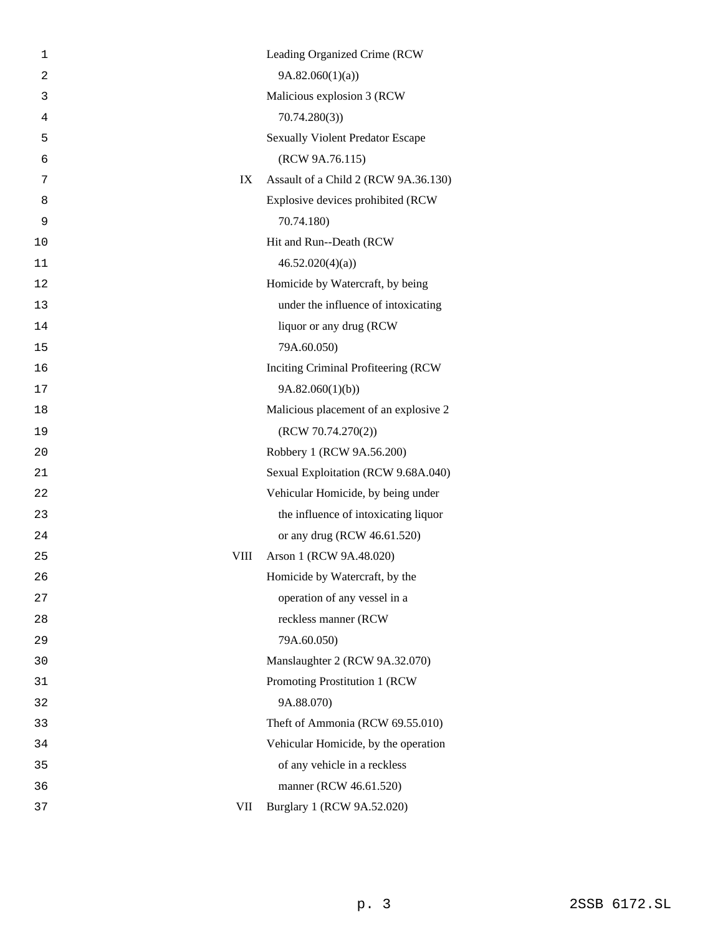| 1              |      | Leading Organized Crime (RCW            |
|----------------|------|-----------------------------------------|
| $\overline{2}$ |      | 9A.82.060(1)(a)                         |
| 3              |      | Malicious explosion 3 (RCW              |
| $\overline{4}$ |      | 70.74.280(3)                            |
| 5              |      | <b>Sexually Violent Predator Escape</b> |
| 6              |      | (RCW 9A.76.115)                         |
| 7              | IX   | Assault of a Child 2 (RCW 9A.36.130)    |
| 8              |      | Explosive devices prohibited (RCW       |
| 9              |      | 70.74.180)                              |
| 10             |      | Hit and Run--Death (RCW                 |
| 11             |      | 46.52.020(4)(a)                         |
| 12             |      | Homicide by Watercraft, by being        |
| 13             |      | under the influence of intoxicating     |
| 14             |      | liquor or any drug (RCW                 |
| 15             |      | 79A.60.050)                             |
| 16             |      | Inciting Criminal Profiteering (RCW     |
| 17             |      | 9A.82.060(1)(b)                         |
| 18             |      | Malicious placement of an explosive 2   |
| 19             |      | (RCW 70.74.270(2))                      |
| 20             |      | Robbery 1 (RCW 9A.56.200)               |
| 21             |      | Sexual Exploitation (RCW 9.68A.040)     |
| 22             |      | Vehicular Homicide, by being under      |
| 23             |      | the influence of intoxicating liquor    |
| 24             |      | or any drug (RCW 46.61.520)             |
| 25             | VIII | Arson 1 (RCW 9A.48.020)                 |
| 26             |      | Homicide by Watercraft, by the          |
| 27             |      | operation of any vessel in a            |
| 28             |      | reckless manner (RCW                    |
| 29             |      | 79A.60.050)                             |
| 30             |      | Manslaughter 2 (RCW 9A.32.070)          |
| 31             |      | Promoting Prostitution 1 (RCW           |
| 32             |      | 9A.88.070)                              |
| 33             |      | Theft of Ammonia (RCW 69.55.010)        |
| 34             |      | Vehicular Homicide, by the operation    |
| 35             |      | of any vehicle in a reckless            |
| 36             |      | manner (RCW 46.61.520)                  |
| 37             | VII  | Burglary 1 (RCW 9A.52.020)              |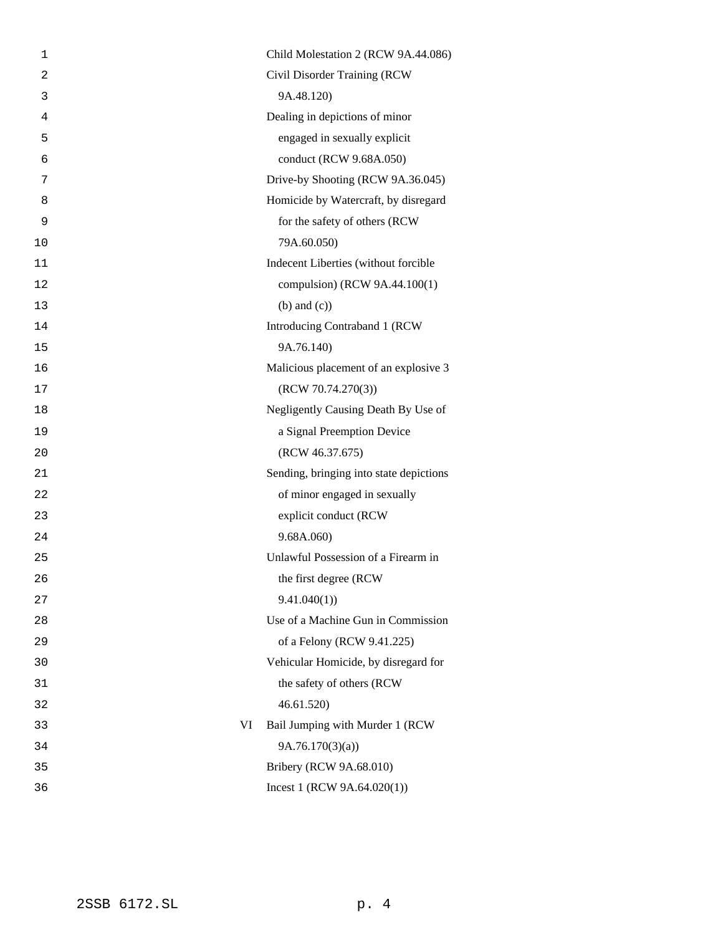| 1              |    | Child Molestation 2 (RCW 9A.44.086)     |
|----------------|----|-----------------------------------------|
| $\overline{2}$ |    | Civil Disorder Training (RCW            |
| 3              |    | 9A.48.120)                              |
| 4              |    | Dealing in depictions of minor          |
| 5              |    | engaged in sexually explicit            |
| 6              |    | conduct (RCW 9.68A.050)                 |
| 7              |    | Drive-by Shooting (RCW 9A.36.045)       |
| 8              |    | Homicide by Watercraft, by disregard    |
| 9              |    | for the safety of others (RCW           |
| 10             |    | 79A.60.050)                             |
| 11             |    | Indecent Liberties (without forcible    |
| 12             |    | compulsion) (RCW 9A.44.100(1)           |
| 13             |    | $(b)$ and $(c)$ )                       |
| 14             |    | Introducing Contraband 1 (RCW           |
| 15             |    | 9A.76.140)                              |
| 16             |    | Malicious placement of an explosive 3   |
| 17             |    | (RCW 70.74.270(3))                      |
| 18             |    | Negligently Causing Death By Use of     |
| 19             |    | a Signal Preemption Device              |
| 20             |    | (RCW 46.37.675)                         |
| 21             |    | Sending, bringing into state depictions |
| 22             |    | of minor engaged in sexually            |
| 23             |    | explicit conduct (RCW                   |
| 24             |    | 9.68A.060)                              |
| 25             |    | Unlawful Possession of a Firearm in     |
| 26             |    | the first degree (RCW                   |
| 27             |    | 9.41.040(1)                             |
| 28             |    | Use of a Machine Gun in Commission      |
| 29             |    | of a Felony (RCW 9.41.225)              |
| 30             |    | Vehicular Homicide, by disregard for    |
| 31             |    | the safety of others (RCW               |
| 32             |    | 46.61.520                               |
| 33             | VI | Bail Jumping with Murder 1 (RCW         |
| 34             |    | 9A.76.170(3)(a)                         |
| 35             |    | Bribery (RCW 9A.68.010)                 |
| 36             |    | Incest 1 (RCW $9A.64.020(1)$ )          |
|                |    |                                         |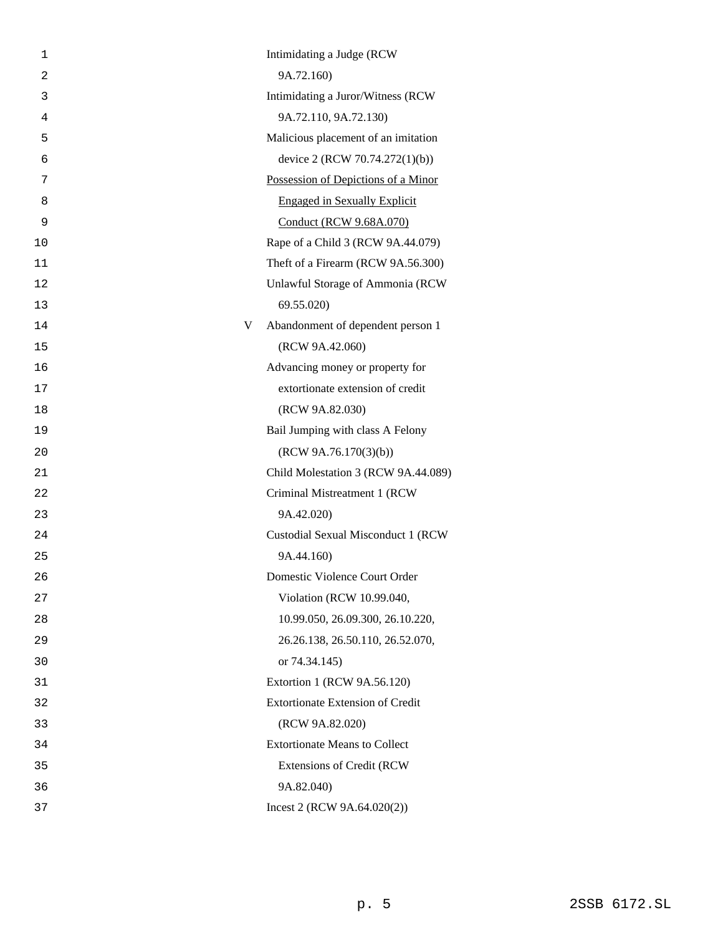| 1  |   | Intimidating a Judge (RCW               |
|----|---|-----------------------------------------|
| 2  |   | 9A.72.160)                              |
| 3  |   | Intimidating a Juror/Witness (RCW       |
| 4  |   | 9A.72.110, 9A.72.130)                   |
| 5  |   | Malicious placement of an imitation     |
| 6  |   | device 2 (RCW 70.74.272(1)(b))          |
| 7  |   | Possession of Depictions of a Minor     |
| 8  |   | <b>Engaged in Sexually Explicit</b>     |
| 9  |   | Conduct (RCW 9.68A.070)                 |
| 10 |   | Rape of a Child 3 (RCW 9A.44.079)       |
| 11 |   | Theft of a Firearm (RCW 9A.56.300)      |
| 12 |   | Unlawful Storage of Ammonia (RCW        |
| 13 |   | 69.55.020)                              |
| 14 | V | Abandonment of dependent person 1       |
| 15 |   | (RCW 9A.42.060)                         |
| 16 |   | Advancing money or property for         |
| 17 |   | extortionate extension of credit        |
| 18 |   | (RCW 9A.82.030)                         |
| 19 |   | Bail Jumping with class A Felony        |
| 20 |   | (RCW 9A.76.170(3)(b))                   |
| 21 |   | Child Molestation 3 (RCW 9A.44.089)     |
| 22 |   | Criminal Mistreatment 1 (RCW            |
| 23 |   | 9A.42.020)                              |
| 24 |   | Custodial Sexual Misconduct 1 (RCW      |
| 25 |   | 9A.44.160)                              |
| 26 |   | Domestic Violence Court Order           |
| 27 |   | Violation (RCW 10.99.040,               |
| 28 |   | 10.99.050, 26.09.300, 26.10.220,        |
| 29 |   | 26.26.138, 26.50.110, 26.52.070,        |
| 30 |   | or 74.34.145)                           |
| 31 |   | Extortion 1 (RCW 9A.56.120)             |
| 32 |   | <b>Extortionate Extension of Credit</b> |
| 33 |   | (RCW 9A.82.020)                         |
| 34 |   | <b>Extortionate Means to Collect</b>    |
| 35 |   | Extensions of Credit (RCW               |
| 36 |   | 9A.82.040)                              |
| 37 |   | Incest 2 (RCW $9A.64.020(2)$ )          |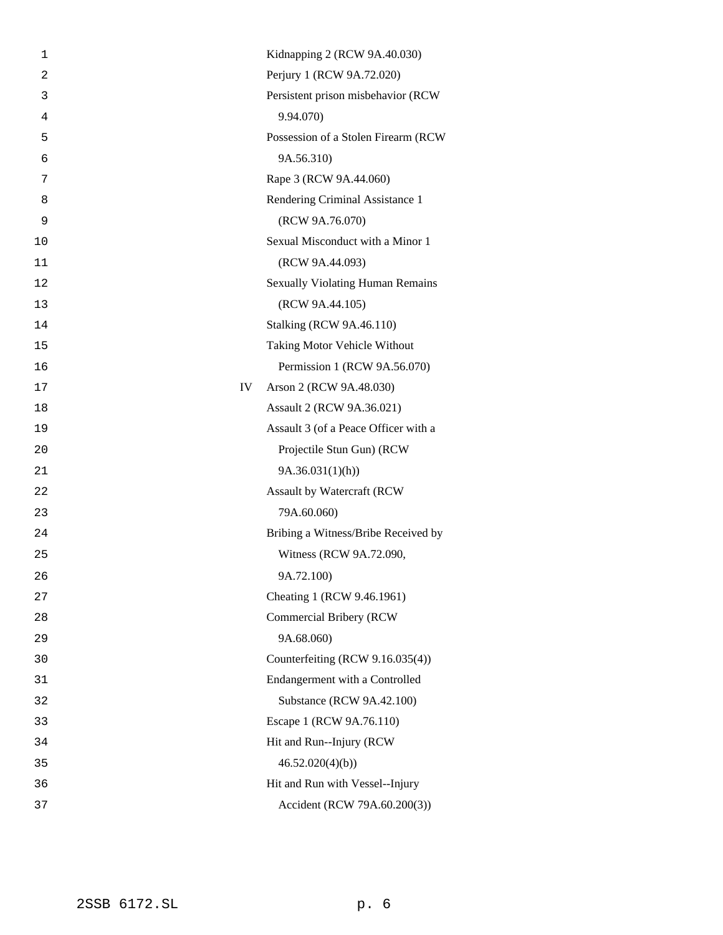| 1              |    | Kidnapping 2 (RCW 9A.40.030)            |
|----------------|----|-----------------------------------------|
| $\overline{a}$ |    | Perjury 1 (RCW 9A.72.020)               |
| 3              |    | Persistent prison misbehavior (RCW      |
| 4              |    | 9.94.070)                               |
| 5              |    | Possession of a Stolen Firearm (RCW     |
| 6              |    | 9A.56.310)                              |
| 7              |    | Rape 3 (RCW 9A.44.060)                  |
| 8              |    | Rendering Criminal Assistance 1         |
| 9              |    | (RCW 9A.76.070)                         |
| 10             |    | Sexual Misconduct with a Minor 1        |
| 11             |    | (RCW 9A.44.093)                         |
| 12             |    | <b>Sexually Violating Human Remains</b> |
| 13             |    | (RCW 9A.44.105)                         |
| 14             |    | <b>Stalking (RCW 9A.46.110)</b>         |
| 15             |    | Taking Motor Vehicle Without            |
| 16             |    | Permission 1 (RCW 9A.56.070)            |
| 17             | IV | Arson 2 (RCW 9A.48.030)                 |
| 18             |    | Assault 2 (RCW 9A.36.021)               |
| 19             |    | Assault 3 (of a Peace Officer with a    |
| 20             |    | Projectile Stun Gun) (RCW               |
| 21             |    | 9A.36.031(1)(h)                         |
| 22             |    | Assault by Watercraft (RCW              |
| 23             |    | 79A.60.060)                             |
| 24             |    | Bribing a Witness/Bribe Received by     |
| 25             |    | Witness (RCW 9A.72.090,                 |
| 26             |    | 9A.72.100)                              |
| 27             |    | Cheating 1 (RCW 9.46.1961)              |
| 28             |    | Commercial Bribery (RCW                 |
| 29             |    | 9A.68.060)                              |
| 30             |    | Counterfeiting (RCW 9.16.035(4))        |
| 31             |    | Endangerment with a Controlled          |
| 32             |    | Substance (RCW 9A.42.100)               |
| 33             |    | Escape 1 (RCW 9A.76.110)                |
| 34             |    | Hit and Run--Injury (RCW                |
| 35             |    | 46.52.020(4)(b)                         |
| 36             |    | Hit and Run with Vessel--Injury         |
| 37             |    | Accident (RCW 79A.60.200(3))            |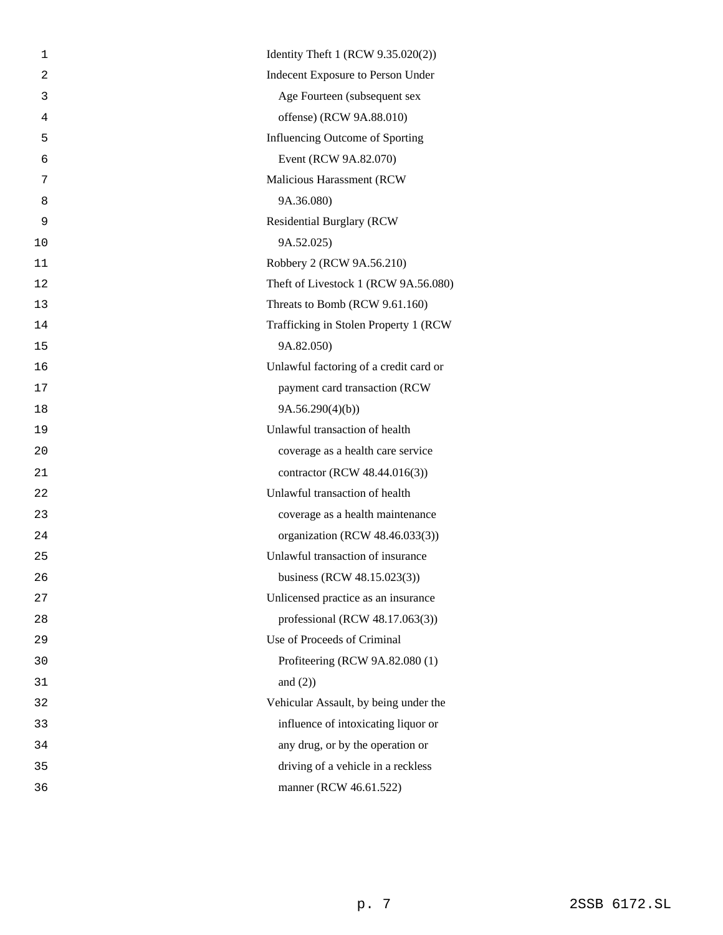| 1  | Identity Theft 1 (RCW 9.35.020(2))     |
|----|----------------------------------------|
| 2  | Indecent Exposure to Person Under      |
| 3  | Age Fourteen (subsequent sex           |
| 4  | offense) (RCW 9A.88.010)               |
| 5  | Influencing Outcome of Sporting        |
| 6  | Event (RCW 9A.82.070)                  |
| 7  | Malicious Harassment (RCW              |
| 8  | 9A.36.080)                             |
| 9  | <b>Residential Burglary (RCW</b>       |
| 10 | 9A.52.025)                             |
| 11 | Robbery 2 (RCW 9A.56.210)              |
| 12 | Theft of Livestock 1 (RCW 9A.56.080)   |
| 13 | Threats to Bomb (RCW 9.61.160)         |
| 14 | Trafficking in Stolen Property 1 (RCW  |
| 15 | 9A.82.050)                             |
| 16 | Unlawful factoring of a credit card or |
| 17 | payment card transaction (RCW          |
| 18 | 9A.56.290(4)(b)                        |
| 19 | Unlawful transaction of health         |
| 20 | coverage as a health care service      |
| 21 | contractor (RCW 48.44.016(3))          |
| 22 | Unlawful transaction of health         |
| 23 | coverage as a health maintenance       |
| 24 | organization (RCW 48.46.033(3))        |
| 25 | Unlawful transaction of insurance      |
| 26 | business (RCW 48.15.023(3))            |
| 27 | Unlicensed practice as an insurance    |
| 28 | professional (RCW 48.17.063(3))        |
| 29 | Use of Proceeds of Criminal            |
| 30 | Profiteering (RCW 9A.82.080 (1)        |
| 31 | and $(2)$ )                            |
| 32 | Vehicular Assault, by being under the  |
| 33 | influence of intoxicating liquor or    |
| 34 | any drug, or by the operation or       |
| 35 | driving of a vehicle in a reckless     |
| 36 | manner (RCW 46.61.522)                 |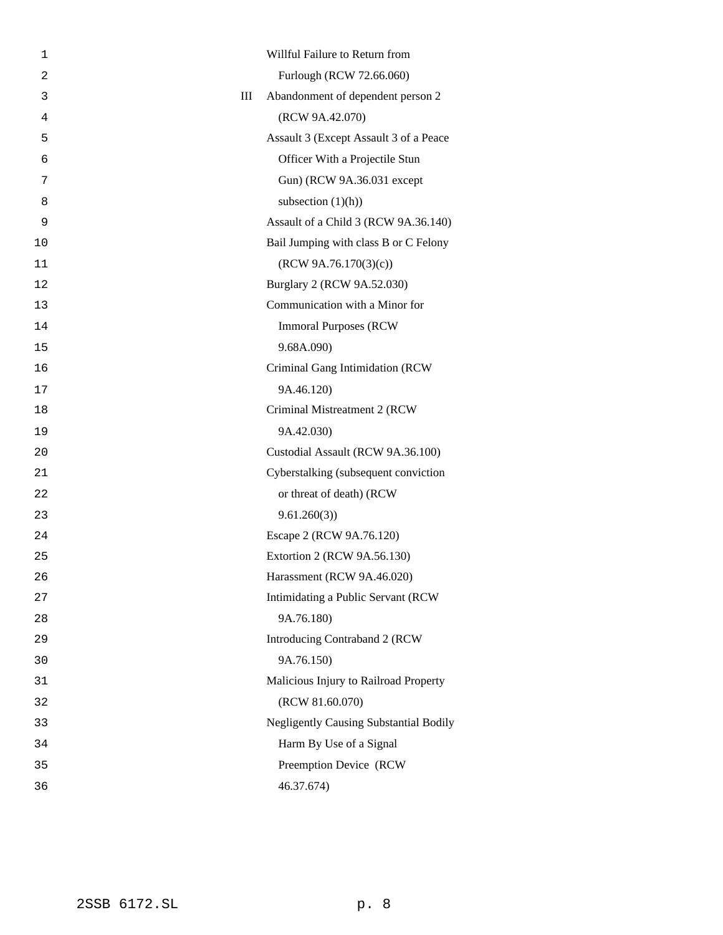| 1              | Willful Failure to Return from                |
|----------------|-----------------------------------------------|
| $\overline{a}$ | Furlough (RCW 72.66.060)                      |
| 3              | III<br>Abandonment of dependent person 2      |
| 4              | (RCW 9A.42.070)                               |
| 5              | Assault 3 (Except Assault 3 of a Peace        |
| 6              | Officer With a Projectile Stun                |
| 7              | Gun) (RCW 9A.36.031 except                    |
| 8              | subsection $(1)(h)$ )                         |
| 9              | Assault of a Child 3 (RCW 9A.36.140)          |
| 10             | Bail Jumping with class B or C Felony         |
| 11             | (RCW 9A.76.170(3)(c))                         |
| 12             | Burglary 2 (RCW 9A.52.030)                    |
| 13             | Communication with a Minor for                |
| 14             | <b>Immoral Purposes (RCW)</b>                 |
| 15             | 9.68A.090)                                    |
| 16             | Criminal Gang Intimidation (RCW               |
| 17             | 9A.46.120)                                    |
| 18             | Criminal Mistreatment 2 (RCW                  |
| 19             | 9A.42.030)                                    |
| 20             | Custodial Assault (RCW 9A.36.100)             |
| 21             | Cyberstalking (subsequent conviction          |
| 22             | or threat of death) (RCW                      |
| 23             | 9.61.260(3)                                   |
| 24             | Escape 2 (RCW 9A.76.120)                      |
| 25             | Extortion 2 (RCW 9A.56.130)                   |
| 26             | Harassment (RCW 9A.46.020)                    |
| 27             | Intimidating a Public Servant (RCW            |
| 28             | 9A.76.180)                                    |
| 29             | Introducing Contraband 2 (RCW                 |
| 30             | 9A.76.150)                                    |
| 31             | Malicious Injury to Railroad Property         |
| 32             | (RCW 81.60.070)                               |
| 33             | <b>Negligently Causing Substantial Bodily</b> |
| 34             | Harm By Use of a Signal                       |
| 35             | Preemption Device (RCW                        |
| 36             | 46.37.674)                                    |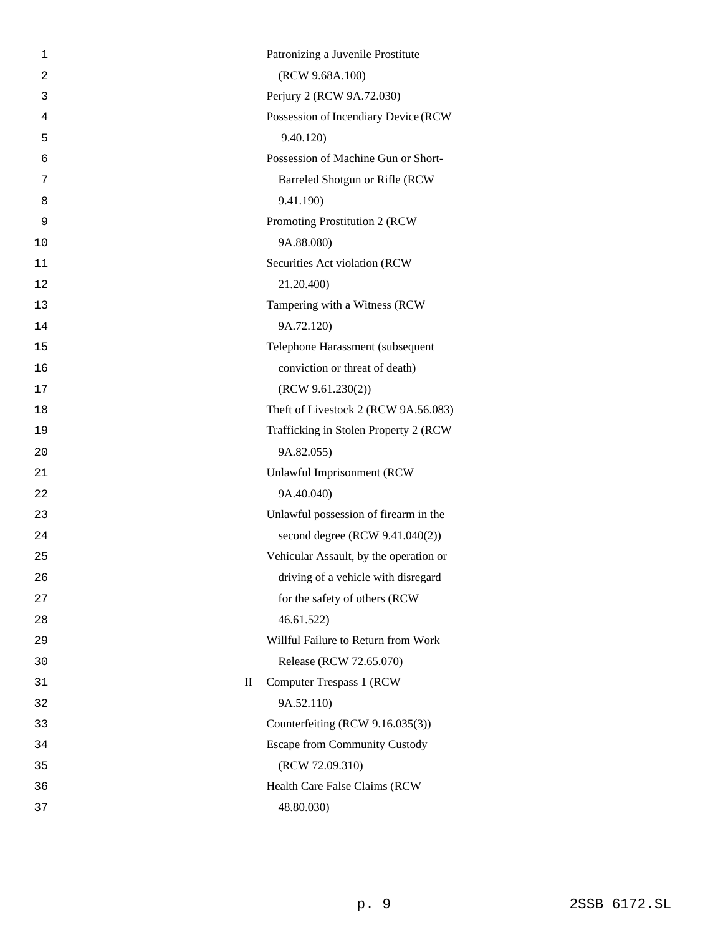| 1  |                        | Patronizing a Juvenile Prostitute      |
|----|------------------------|----------------------------------------|
| 2  |                        | (RCW 9.68A.100)                        |
| 3  |                        | Perjury 2 (RCW 9A.72.030)              |
| 4  |                        | Possession of Incendiary Device (RCW   |
| 5  |                        | 9.40.120)                              |
| 6  |                        | Possession of Machine Gun or Short-    |
| 7  |                        | Barreled Shotgun or Rifle (RCW         |
| 8  |                        | 9.41.190)                              |
| 9  |                        | Promoting Prostitution 2 (RCW)         |
| 10 |                        | 9A.88.080)                             |
| 11 |                        | Securities Act violation (RCW          |
| 12 |                        | 21.20.400)                             |
| 13 |                        | Tampering with a Witness (RCW          |
| 14 |                        | 9A.72.120)                             |
| 15 |                        | Telephone Harassment (subsequent       |
| 16 |                        | conviction or threat of death)         |
| 17 |                        | (RCW 9.61.230(2))                      |
| 18 |                        | Theft of Livestock 2 (RCW 9A.56.083)   |
| 19 |                        | Trafficking in Stolen Property 2 (RCW  |
| 20 |                        | 9A.82.055)                             |
| 21 |                        | Unlawful Imprisonment (RCW             |
| 22 |                        | 9A.40.040)                             |
| 23 |                        | Unlawful possession of firearm in the  |
| 24 |                        | second degree (RCW 9.41.040(2))        |
| 25 |                        | Vehicular Assault, by the operation or |
| 26 |                        | driving of a vehicle with disregard    |
| 27 |                        | for the safety of others (RCW          |
| 28 |                        | 46.61.522)                             |
| 29 |                        | Willful Failure to Return from Work    |
| 30 |                        | Release (RCW 72.65.070)                |
| 31 | $\mathop{\mathrm{II}}$ | <b>Computer Trespass 1 (RCW)</b>       |
| 32 |                        | 9A.52.110)                             |
| 33 |                        | Counterfeiting (RCW 9.16.035(3))       |
| 34 |                        | <b>Escape from Community Custody</b>   |
| 35 |                        | (RCW 72.09.310)                        |
| 36 |                        | Health Care False Claims (RCW          |
| 37 |                        | 48.80.030)                             |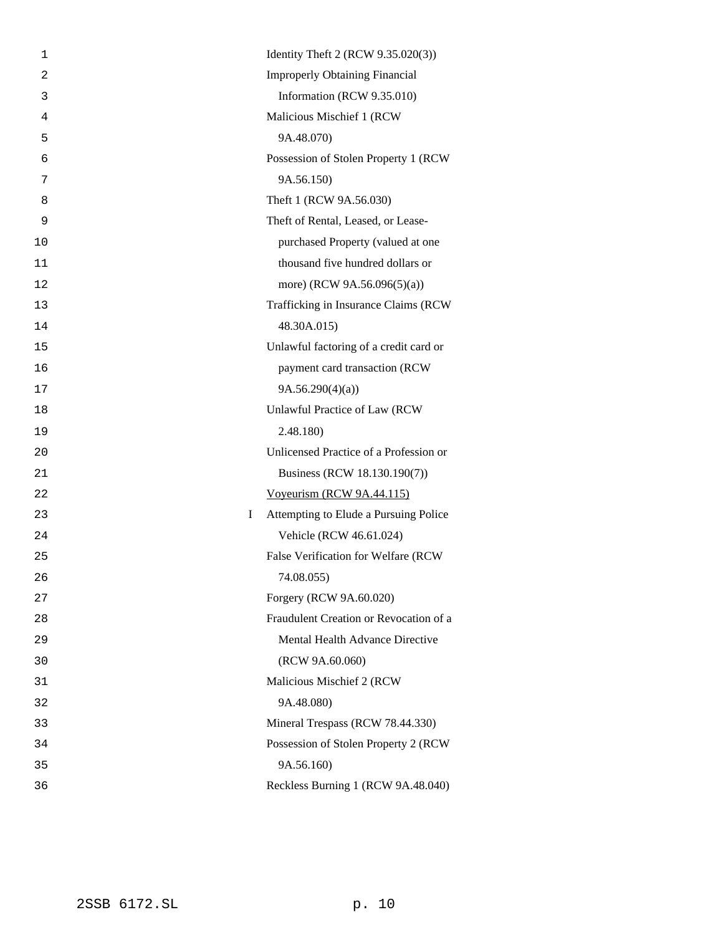| 1              |   | Identity Theft 2 (RCW 9.35.020(3))     |
|----------------|---|----------------------------------------|
| $\overline{2}$ |   | <b>Improperly Obtaining Financial</b>  |
| 3              |   | Information (RCW 9.35.010)             |
| 4              |   | Malicious Mischief 1 (RCW              |
| 5              |   | 9A.48.070)                             |
| 6              |   | Possession of Stolen Property 1 (RCW   |
| 7              |   | 9A.56.150)                             |
| 8              |   | Theft 1 (RCW 9A.56.030)                |
| 9              |   | Theft of Rental, Leased, or Lease-     |
| 10             |   | purchased Property (valued at one      |
| 11             |   | thousand five hundred dollars or       |
| 12             |   | more) (RCW 9A.56.096(5)(a))            |
| 13             |   | Trafficking in Insurance Claims (RCW   |
| 14             |   | 48.30A.015)                            |
| 15             |   | Unlawful factoring of a credit card or |
| 16             |   | payment card transaction (RCW          |
| 17             |   | 9A.56.290(4)(a)                        |
| 18             |   | Unlawful Practice of Law (RCW          |
| 19             |   | 2.48.180)                              |
| 20             |   | Unlicensed Practice of a Profession or |
| 21             |   | Business (RCW 18.130.190(7))           |
| 22             |   | Voyeurism (RCW 9A.44.115)              |
| 23             | I | Attempting to Elude a Pursuing Police  |
| 24             |   | Vehicle (RCW 46.61.024)                |
| 25             |   | False Verification for Welfare (RCW    |
| 26             |   | 74.08.055)                             |
| 27             |   | Forgery (RCW 9A.60.020)                |
| 28             |   | Fraudulent Creation or Revocation of a |
| 29             |   | Mental Health Advance Directive        |
| 30             |   | (RCW 9A.60.060)                        |
| 31             |   | Malicious Mischief 2 (RCW              |
| 32             |   | 9A.48.080)                             |
| 33             |   | Mineral Trespass (RCW 78.44.330)       |
| 34             |   | Possession of Stolen Property 2 (RCW   |
| 35             |   | 9A.56.160)                             |
| 36             |   | Reckless Burning 1 (RCW 9A.48.040)     |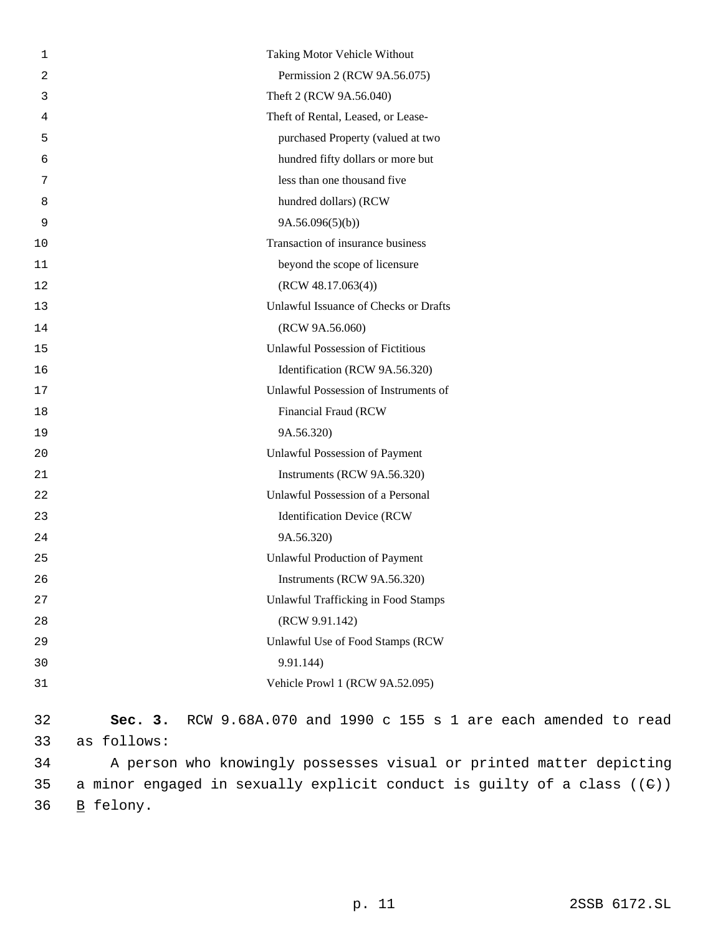| 1      | Taking Motor Vehicle Without                                           |
|--------|------------------------------------------------------------------------|
| 2      | Permission 2 (RCW 9A.56.075)                                           |
| 3      | Theft 2 (RCW 9A.56.040)                                                |
| 4      | Theft of Rental, Leased, or Lease-                                     |
| 5      | purchased Property (valued at two                                      |
| 6      | hundred fifty dollars or more but                                      |
| 7      | less than one thousand five                                            |
| 8      | hundred dollars) (RCW                                                  |
| 9      | 9A.56.096(5)(b)                                                        |
| 10     | Transaction of insurance business                                      |
| $11\,$ | beyond the scope of licensure                                          |
| 12     | (RCW 48.17.063(4))                                                     |
| 13     | Unlawful Issuance of Checks or Drafts                                  |
| 14     | (RCW 9A.56.060)                                                        |
| 15     | <b>Unlawful Possession of Fictitious</b>                               |
| 16     | Identification (RCW 9A.56.320)                                         |
| $17$   | Unlawful Possession of Instruments of                                  |
| 18     | Financial Fraud (RCW                                                   |
| 19     | 9A.56.320)                                                             |
| 20     | <b>Unlawful Possession of Payment</b>                                  |
| 21     | Instruments (RCW 9A.56.320)                                            |
| 22     | Unlawful Possession of a Personal                                      |
| 23     | <b>Identification Device (RCW</b>                                      |
| 24     | 9A.56.320)                                                             |
| 25     | Unlawful Production of Payment                                         |
| 26     | Instruments (RCW 9A.56.320)                                            |
| 27     | <b>Unlawful Trafficking in Food Stamps</b>                             |
| 28     | (RCW 9.91.142)                                                         |
| 29     | Unlawful Use of Food Stamps (RCW                                       |
| 30     | 9.91.144)                                                              |
| 31     | Vehicle Prowl 1 (RCW 9A.52.095)                                        |
| 32     | RCW 9.68A.070 and 1990 c 155 s 1 are each amended to read<br>Sec. $3.$ |
| 33     | as follows:                                                            |
| 34     | A person who knowingly possesses visual or printed matter depicting    |

35 a minor engaged in sexually explicit conduct is guilty of a class ((C)) 36 B felony.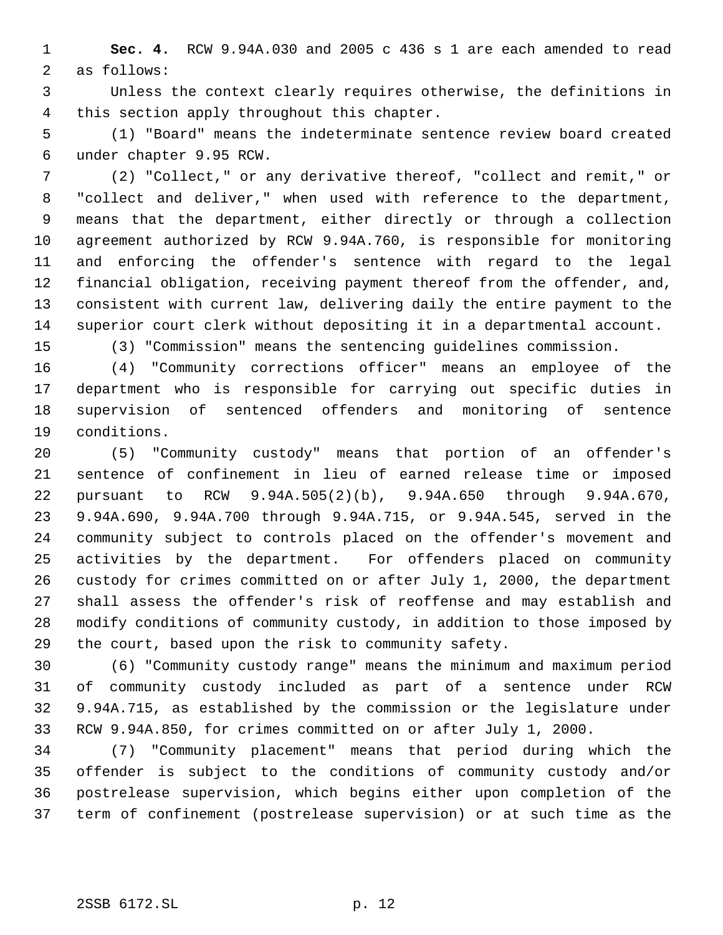**Sec. 4.** RCW 9.94A.030 and 2005 c 436 s 1 are each amended to read as follows:

 Unless the context clearly requires otherwise, the definitions in this section apply throughout this chapter.

 (1) "Board" means the indeterminate sentence review board created under chapter 9.95 RCW.

 (2) "Collect," or any derivative thereof, "collect and remit," or "collect and deliver," when used with reference to the department, means that the department, either directly or through a collection agreement authorized by RCW 9.94A.760, is responsible for monitoring and enforcing the offender's sentence with regard to the legal financial obligation, receiving payment thereof from the offender, and, consistent with current law, delivering daily the entire payment to the superior court clerk without depositing it in a departmental account.

(3) "Commission" means the sentencing guidelines commission.

 (4) "Community corrections officer" means an employee of the department who is responsible for carrying out specific duties in supervision of sentenced offenders and monitoring of sentence conditions.

 (5) "Community custody" means that portion of an offender's sentence of confinement in lieu of earned release time or imposed pursuant to RCW 9.94A.505(2)(b), 9.94A.650 through 9.94A.670, 9.94A.690, 9.94A.700 through 9.94A.715, or 9.94A.545, served in the community subject to controls placed on the offender's movement and activities by the department. For offenders placed on community custody for crimes committed on or after July 1, 2000, the department shall assess the offender's risk of reoffense and may establish and modify conditions of community custody, in addition to those imposed by the court, based upon the risk to community safety.

 (6) "Community custody range" means the minimum and maximum period of community custody included as part of a sentence under RCW 9.94A.715, as established by the commission or the legislature under RCW 9.94A.850, for crimes committed on or after July 1, 2000.

 (7) "Community placement" means that period during which the offender is subject to the conditions of community custody and/or postrelease supervision, which begins either upon completion of the term of confinement (postrelease supervision) or at such time as the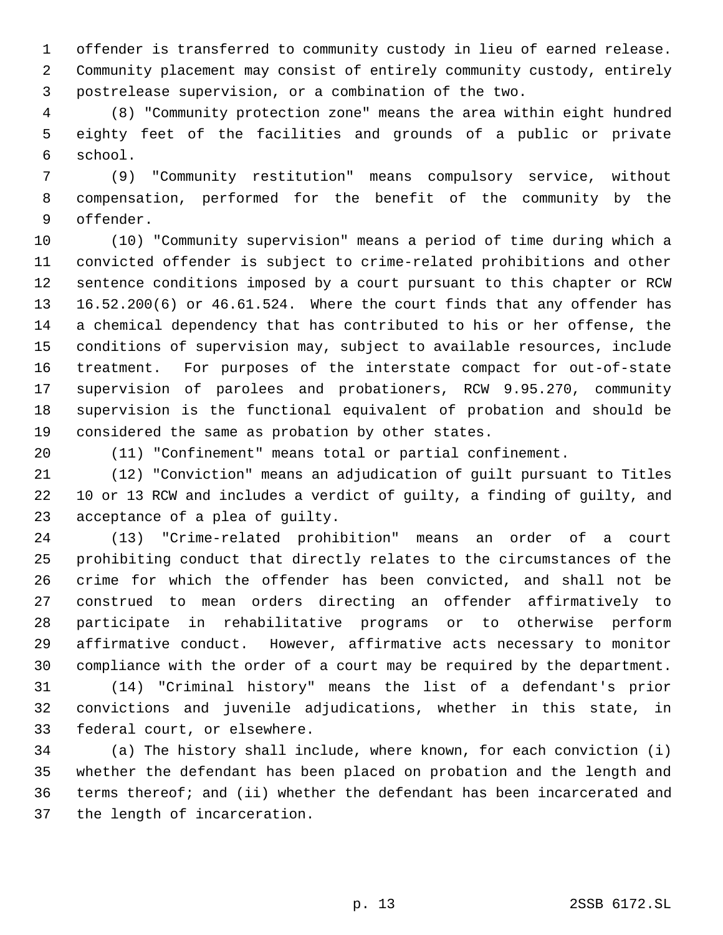offender is transferred to community custody in lieu of earned release. Community placement may consist of entirely community custody, entirely postrelease supervision, or a combination of the two.

 (8) "Community protection zone" means the area within eight hundred eighty feet of the facilities and grounds of a public or private school.

 (9) "Community restitution" means compulsory service, without compensation, performed for the benefit of the community by the offender.

 (10) "Community supervision" means a period of time during which a convicted offender is subject to crime-related prohibitions and other sentence conditions imposed by a court pursuant to this chapter or RCW 16.52.200(6) or 46.61.524. Where the court finds that any offender has a chemical dependency that has contributed to his or her offense, the conditions of supervision may, subject to available resources, include treatment. For purposes of the interstate compact for out-of-state supervision of parolees and probationers, RCW 9.95.270, community supervision is the functional equivalent of probation and should be considered the same as probation by other states.

(11) "Confinement" means total or partial confinement.

 (12) "Conviction" means an adjudication of guilt pursuant to Titles 10 or 13 RCW and includes a verdict of guilty, a finding of guilty, and acceptance of a plea of guilty.

 (13) "Crime-related prohibition" means an order of a court prohibiting conduct that directly relates to the circumstances of the crime for which the offender has been convicted, and shall not be construed to mean orders directing an offender affirmatively to participate in rehabilitative programs or to otherwise perform affirmative conduct. However, affirmative acts necessary to monitor compliance with the order of a court may be required by the department.

 (14) "Criminal history" means the list of a defendant's prior convictions and juvenile adjudications, whether in this state, in federal court, or elsewhere.

 (a) The history shall include, where known, for each conviction (i) whether the defendant has been placed on probation and the length and terms thereof; and (ii) whether the defendant has been incarcerated and the length of incarceration.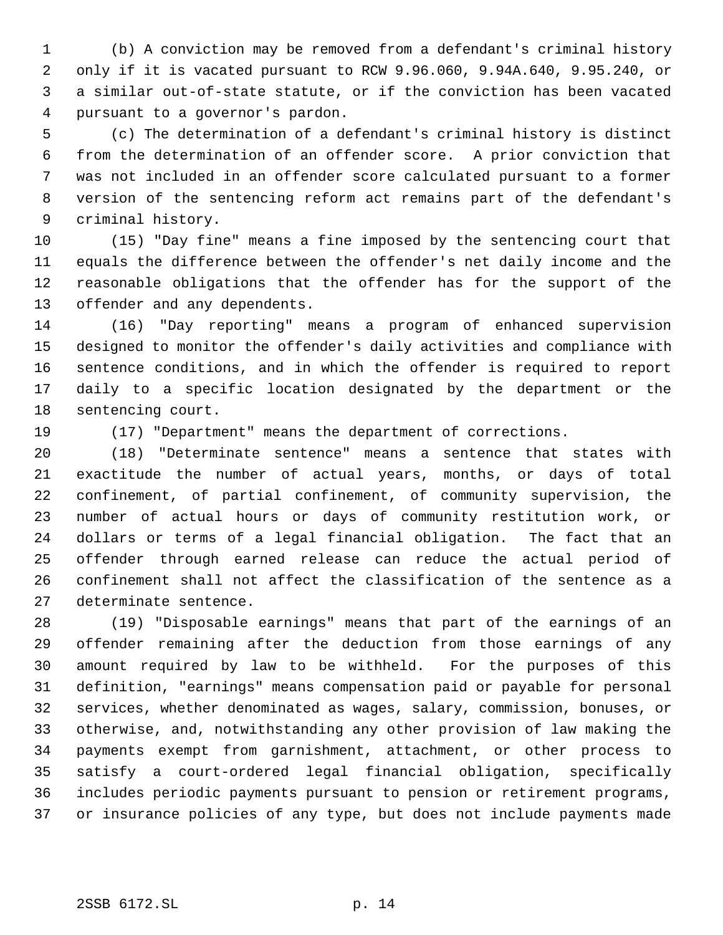(b) A conviction may be removed from a defendant's criminal history only if it is vacated pursuant to RCW 9.96.060, 9.94A.640, 9.95.240, or a similar out-of-state statute, or if the conviction has been vacated pursuant to a governor's pardon.

 (c) The determination of a defendant's criminal history is distinct from the determination of an offender score. A prior conviction that was not included in an offender score calculated pursuant to a former version of the sentencing reform act remains part of the defendant's criminal history.

 (15) "Day fine" means a fine imposed by the sentencing court that equals the difference between the offender's net daily income and the reasonable obligations that the offender has for the support of the offender and any dependents.

 (16) "Day reporting" means a program of enhanced supervision designed to monitor the offender's daily activities and compliance with sentence conditions, and in which the offender is required to report daily to a specific location designated by the department or the sentencing court.

(17) "Department" means the department of corrections.

 (18) "Determinate sentence" means a sentence that states with exactitude the number of actual years, months, or days of total confinement, of partial confinement, of community supervision, the number of actual hours or days of community restitution work, or dollars or terms of a legal financial obligation. The fact that an offender through earned release can reduce the actual period of confinement shall not affect the classification of the sentence as a determinate sentence.

 (19) "Disposable earnings" means that part of the earnings of an offender remaining after the deduction from those earnings of any amount required by law to be withheld. For the purposes of this definition, "earnings" means compensation paid or payable for personal services, whether denominated as wages, salary, commission, bonuses, or otherwise, and, notwithstanding any other provision of law making the payments exempt from garnishment, attachment, or other process to satisfy a court-ordered legal financial obligation, specifically includes periodic payments pursuant to pension or retirement programs, or insurance policies of any type, but does not include payments made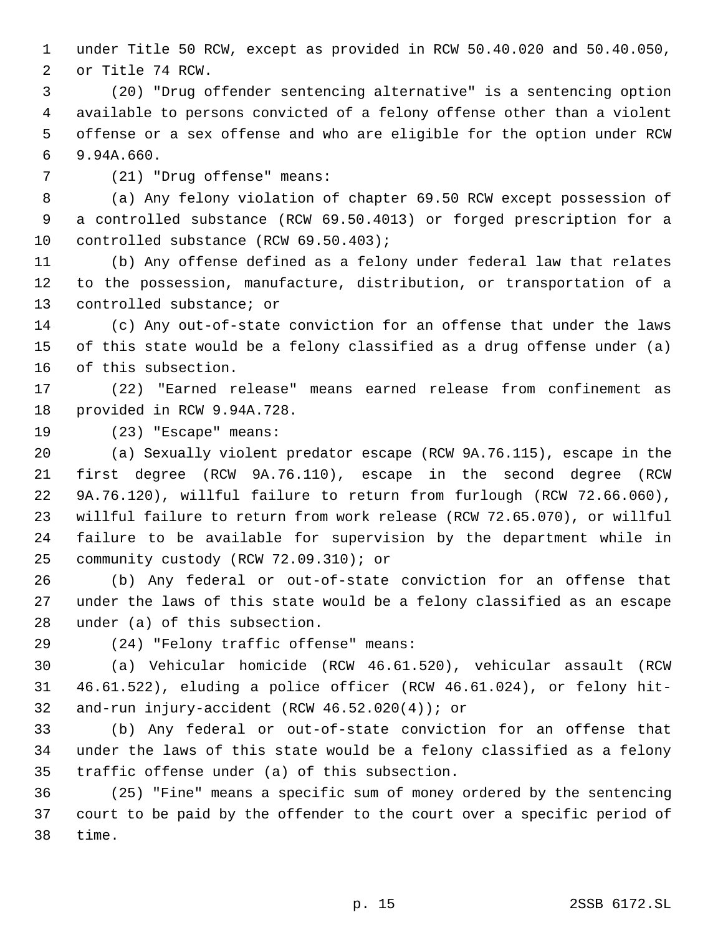under Title 50 RCW, except as provided in RCW 50.40.020 and 50.40.050, or Title 74 RCW.

 (20) "Drug offender sentencing alternative" is a sentencing option available to persons convicted of a felony offense other than a violent offense or a sex offense and who are eligible for the option under RCW 9.94A.660.

(21) "Drug offense" means:

 (a) Any felony violation of chapter 69.50 RCW except possession of a controlled substance (RCW 69.50.4013) or forged prescription for a controlled substance (RCW 69.50.403);

 (b) Any offense defined as a felony under federal law that relates to the possession, manufacture, distribution, or transportation of a controlled substance; or

 (c) Any out-of-state conviction for an offense that under the laws of this state would be a felony classified as a drug offense under (a) of this subsection.

 (22) "Earned release" means earned release from confinement as provided in RCW 9.94A.728.

(23) "Escape" means:

 (a) Sexually violent predator escape (RCW 9A.76.115), escape in the first degree (RCW 9A.76.110), escape in the second degree (RCW 9A.76.120), willful failure to return from furlough (RCW 72.66.060), willful failure to return from work release (RCW 72.65.070), or willful failure to be available for supervision by the department while in community custody (RCW 72.09.310); or

 (b) Any federal or out-of-state conviction for an offense that under the laws of this state would be a felony classified as an escape under (a) of this subsection.

(24) "Felony traffic offense" means:

 (a) Vehicular homicide (RCW 46.61.520), vehicular assault (RCW 46.61.522), eluding a police officer (RCW 46.61.024), or felony hit-and-run injury-accident (RCW 46.52.020(4)); or

 (b) Any federal or out-of-state conviction for an offense that under the laws of this state would be a felony classified as a felony traffic offense under (a) of this subsection.

 (25) "Fine" means a specific sum of money ordered by the sentencing court to be paid by the offender to the court over a specific period of time.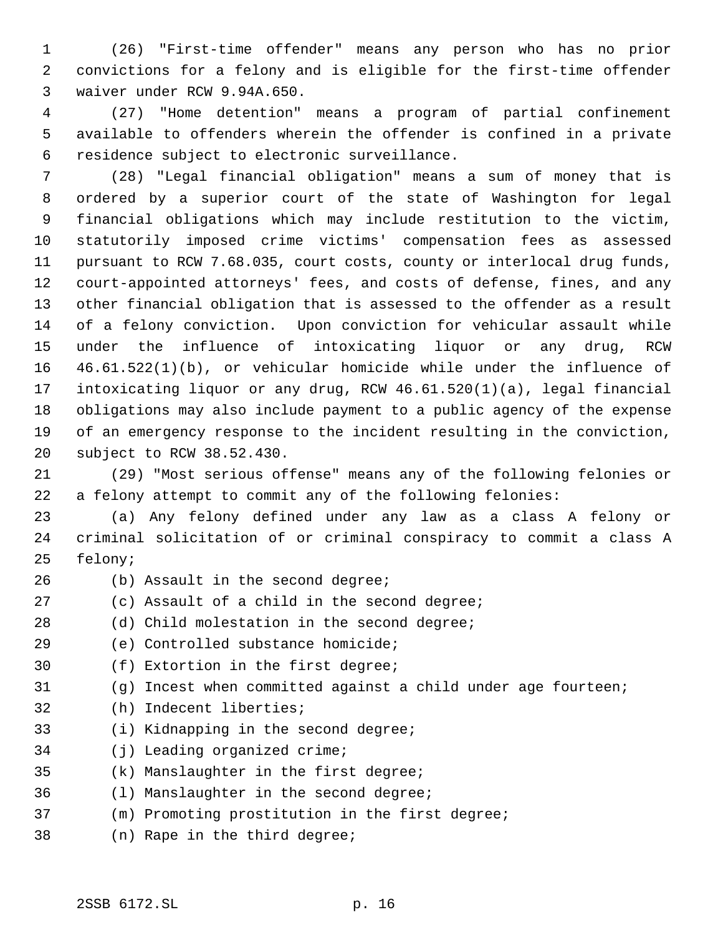(26) "First-time offender" means any person who has no prior convictions for a felony and is eligible for the first-time offender waiver under RCW 9.94A.650.

 (27) "Home detention" means a program of partial confinement available to offenders wherein the offender is confined in a private residence subject to electronic surveillance.

 (28) "Legal financial obligation" means a sum of money that is ordered by a superior court of the state of Washington for legal financial obligations which may include restitution to the victim, statutorily imposed crime victims' compensation fees as assessed pursuant to RCW 7.68.035, court costs, county or interlocal drug funds, court-appointed attorneys' fees, and costs of defense, fines, and any other financial obligation that is assessed to the offender as a result of a felony conviction. Upon conviction for vehicular assault while under the influence of intoxicating liquor or any drug, RCW 46.61.522(1)(b), or vehicular homicide while under the influence of intoxicating liquor or any drug, RCW 46.61.520(1)(a), legal financial obligations may also include payment to a public agency of the expense of an emergency response to the incident resulting in the conviction, subject to RCW 38.52.430.

 (29) "Most serious offense" means any of the following felonies or a felony attempt to commit any of the following felonies:

 (a) Any felony defined under any law as a class A felony or criminal solicitation of or criminal conspiracy to commit a class A felony;

- 
- 26 (b) Assault in the second degree;
- (c) Assault of a child in the second degree;
- 28 (d) Child molestation in the second degree;
- (e) Controlled substance homicide;
- (f) Extortion in the first degree;
- (g) Incest when committed against a child under age fourteen;
- (h) Indecent liberties;
- (i) Kidnapping in the second degree;
- (j) Leading organized crime;
- (k) Manslaughter in the first degree;
- (l) Manslaughter in the second degree;
- (m) Promoting prostitution in the first degree;
- (n) Rape in the third degree;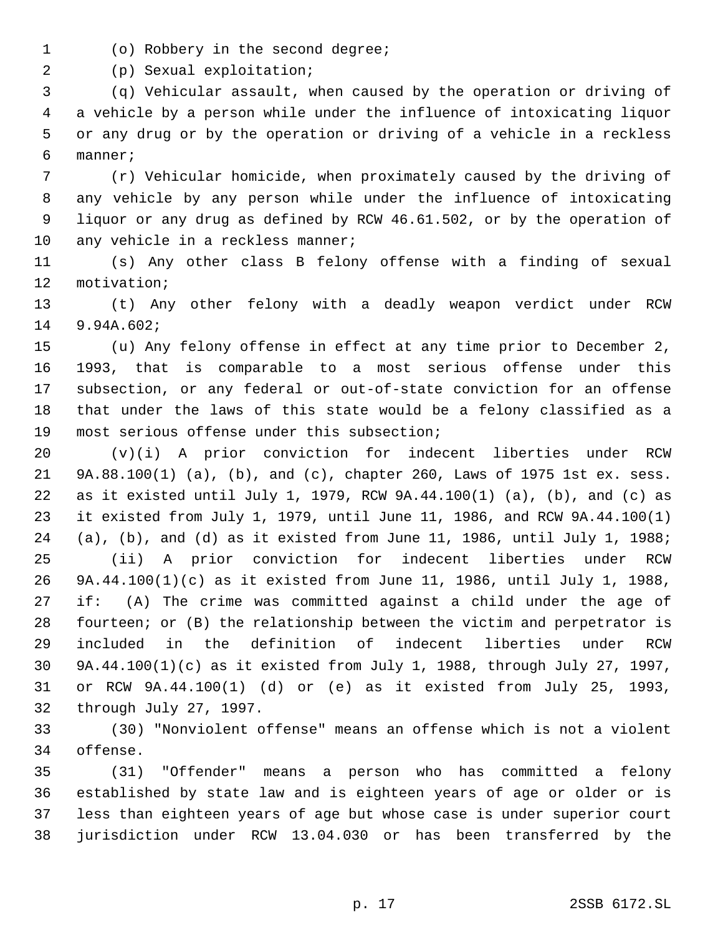(o) Robbery in the second degree;

(p) Sexual exploitation;

 (q) Vehicular assault, when caused by the operation or driving of a vehicle by a person while under the influence of intoxicating liquor or any drug or by the operation or driving of a vehicle in a reckless manner;

 (r) Vehicular homicide, when proximately caused by the driving of any vehicle by any person while under the influence of intoxicating liquor or any drug as defined by RCW 46.61.502, or by the operation of 10 any vehicle in a reckless manner;

 (s) Any other class B felony offense with a finding of sexual motivation;

 (t) Any other felony with a deadly weapon verdict under RCW 9.94A.602;

 (u) Any felony offense in effect at any time prior to December 2, 1993, that is comparable to a most serious offense under this subsection, or any federal or out-of-state conviction for an offense that under the laws of this state would be a felony classified as a most serious offense under this subsection;

 (v)(i) A prior conviction for indecent liberties under RCW 9A.88.100(1) (a), (b), and (c), chapter 260, Laws of 1975 1st ex. sess. as it existed until July 1, 1979, RCW 9A.44.100(1) (a), (b), and (c) as it existed from July 1, 1979, until June 11, 1986, and RCW 9A.44.100(1) (a), (b), and (d) as it existed from June 11, 1986, until July 1, 1988; (ii) A prior conviction for indecent liberties under RCW 9A.44.100(1)(c) as it existed from June 11, 1986, until July 1, 1988, if: (A) The crime was committed against a child under the age of fourteen; or (B) the relationship between the victim and perpetrator is included in the definition of indecent liberties under RCW 9A.44.100(1)(c) as it existed from July 1, 1988, through July 27, 1997, or RCW 9A.44.100(1) (d) or (e) as it existed from July 25, 1993, through July 27, 1997.

 (30) "Nonviolent offense" means an offense which is not a violent offense.

 (31) "Offender" means a person who has committed a felony established by state law and is eighteen years of age or older or is less than eighteen years of age but whose case is under superior court jurisdiction under RCW 13.04.030 or has been transferred by the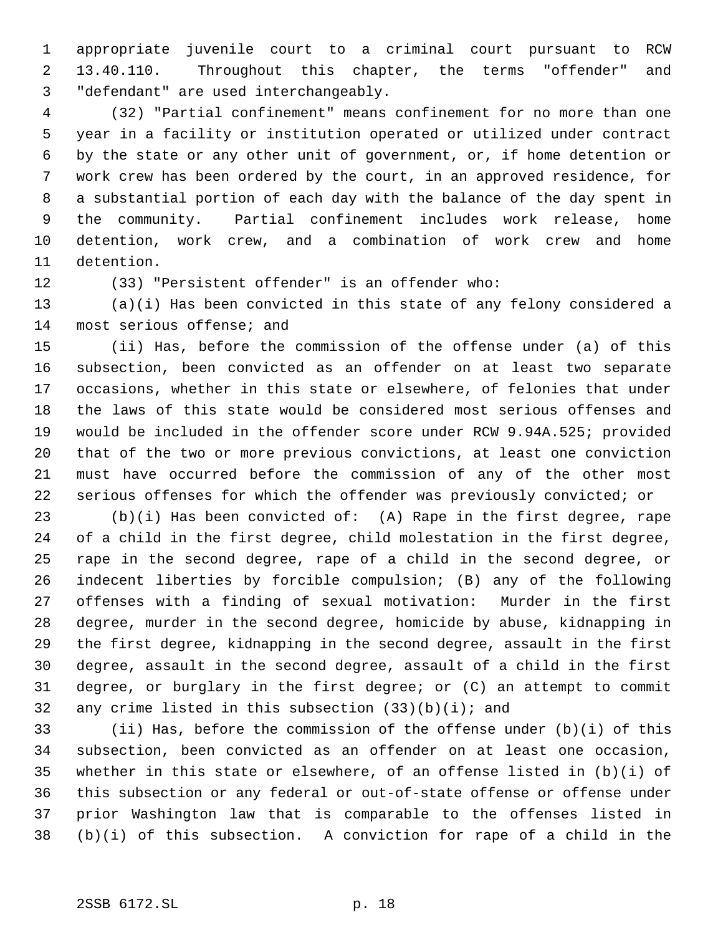appropriate juvenile court to a criminal court pursuant to RCW 13.40.110. Throughout this chapter, the terms "offender" and "defendant" are used interchangeably.

 (32) "Partial confinement" means confinement for no more than one year in a facility or institution operated or utilized under contract by the state or any other unit of government, or, if home detention or work crew has been ordered by the court, in an approved residence, for a substantial portion of each day with the balance of the day spent in the community. Partial confinement includes work release, home detention, work crew, and a combination of work crew and home detention.

(33) "Persistent offender" is an offender who:

 (a)(i) Has been convicted in this state of any felony considered a most serious offense; and

 (ii) Has, before the commission of the offense under (a) of this subsection, been convicted as an offender on at least two separate occasions, whether in this state or elsewhere, of felonies that under the laws of this state would be considered most serious offenses and would be included in the offender score under RCW 9.94A.525; provided that of the two or more previous convictions, at least one conviction must have occurred before the commission of any of the other most serious offenses for which the offender was previously convicted; or

 (b)(i) Has been convicted of: (A) Rape in the first degree, rape of a child in the first degree, child molestation in the first degree, rape in the second degree, rape of a child in the second degree, or indecent liberties by forcible compulsion; (B) any of the following offenses with a finding of sexual motivation: Murder in the first degree, murder in the second degree, homicide by abuse, kidnapping in the first degree, kidnapping in the second degree, assault in the first degree, assault in the second degree, assault of a child in the first degree, or burglary in the first degree; or (C) an attempt to commit 32 any crime listed in this subsection  $(33)(b)(i)$ ; and

 (ii) Has, before the commission of the offense under (b)(i) of this subsection, been convicted as an offender on at least one occasion, whether in this state or elsewhere, of an offense listed in (b)(i) of this subsection or any federal or out-of-state offense or offense under prior Washington law that is comparable to the offenses listed in (b)(i) of this subsection. A conviction for rape of a child in the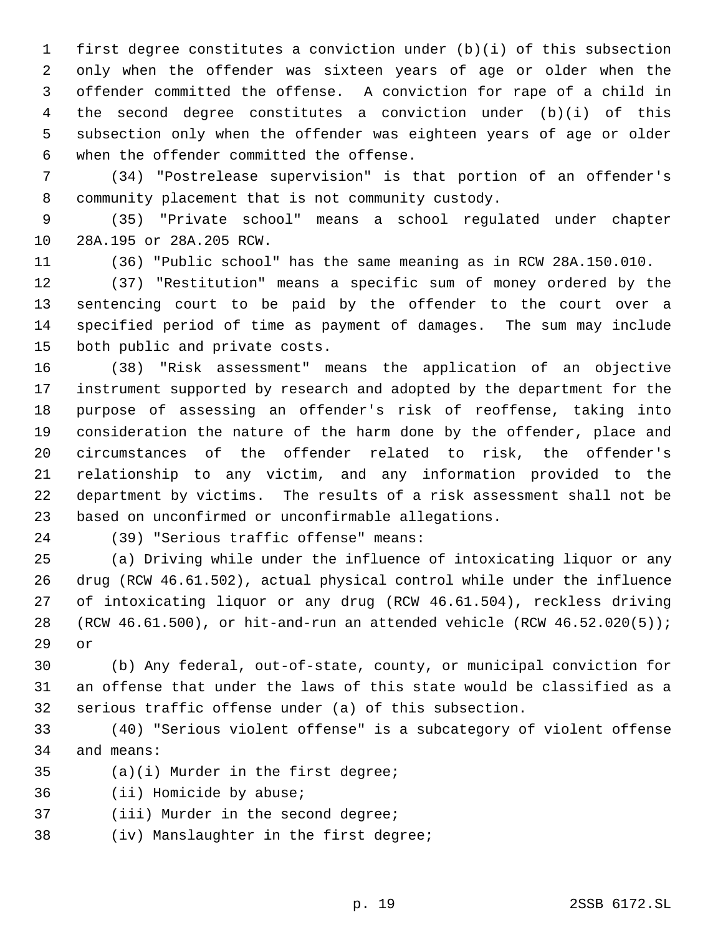first degree constitutes a conviction under (b)(i) of this subsection only when the offender was sixteen years of age or older when the offender committed the offense. A conviction for rape of a child in the second degree constitutes a conviction under (b)(i) of this subsection only when the offender was eighteen years of age or older when the offender committed the offense.

 (34) "Postrelease supervision" is that portion of an offender's community placement that is not community custody.

 (35) "Private school" means a school regulated under chapter 28A.195 or 28A.205 RCW.

(36) "Public school" has the same meaning as in RCW 28A.150.010.

 (37) "Restitution" means a specific sum of money ordered by the sentencing court to be paid by the offender to the court over a specified period of time as payment of damages. The sum may include both public and private costs.

 (38) "Risk assessment" means the application of an objective instrument supported by research and adopted by the department for the purpose of assessing an offender's risk of reoffense, taking into consideration the nature of the harm done by the offender, place and circumstances of the offender related to risk, the offender's relationship to any victim, and any information provided to the department by victims. The results of a risk assessment shall not be based on unconfirmed or unconfirmable allegations.

(39) "Serious traffic offense" means:

 (a) Driving while under the influence of intoxicating liquor or any drug (RCW 46.61.502), actual physical control while under the influence of intoxicating liquor or any drug (RCW 46.61.504), reckless driving (RCW 46.61.500), or hit-and-run an attended vehicle (RCW 46.52.020(5)); or

 (b) Any federal, out-of-state, county, or municipal conviction for an offense that under the laws of this state would be classified as a serious traffic offense under (a) of this subsection.

 (40) "Serious violent offense" is a subcategory of violent offense and means:

(a)(i) Murder in the first degree;

(ii) Homicide by abuse;

(iii) Murder in the second degree;

(iv) Manslaughter in the first degree;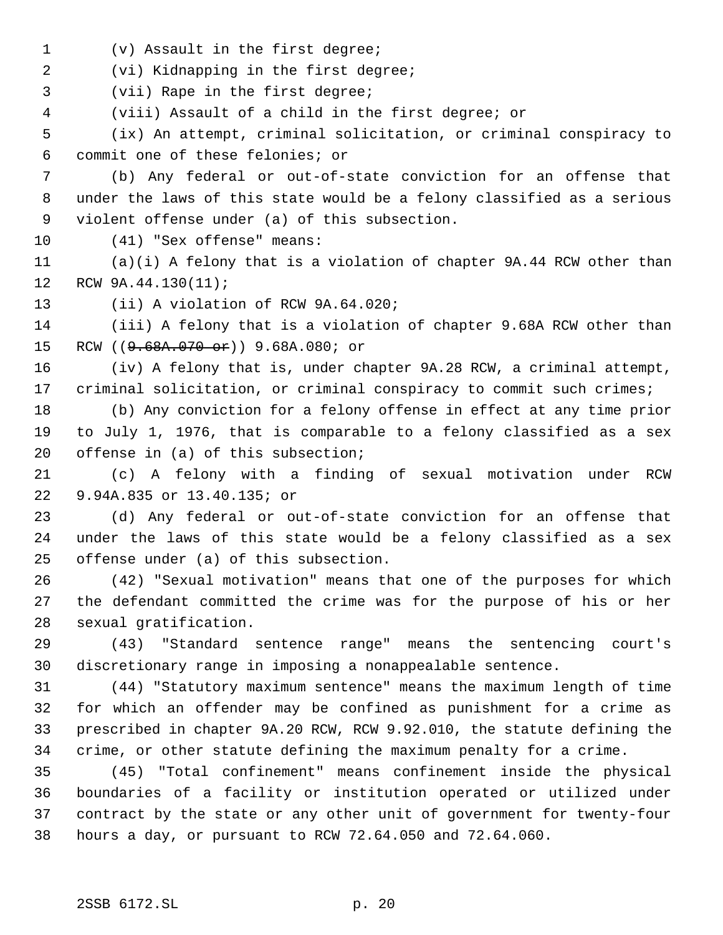(v) Assault in the first degree;

(vi) Kidnapping in the first degree;

(vii) Rape in the first degree;

(viii) Assault of a child in the first degree; or

 (ix) An attempt, criminal solicitation, or criminal conspiracy to commit one of these felonies; or

 (b) Any federal or out-of-state conviction for an offense that under the laws of this state would be a felony classified as a serious violent offense under (a) of this subsection.

(41) "Sex offense" means:

 (a)(i) A felony that is a violation of chapter 9A.44 RCW other than RCW 9A.44.130(11);

(ii) A violation of RCW 9A.64.020;

 (iii) A felony that is a violation of chapter 9.68A RCW other than 15 RCW ((9.68A.070 or)) 9.68A.080; or

 (iv) A felony that is, under chapter 9A.28 RCW, a criminal attempt, criminal solicitation, or criminal conspiracy to commit such crimes;

 (b) Any conviction for a felony offense in effect at any time prior to July 1, 1976, that is comparable to a felony classified as a sex offense in (a) of this subsection;

 (c) A felony with a finding of sexual motivation under RCW 9.94A.835 or 13.40.135; or

 (d) Any federal or out-of-state conviction for an offense that under the laws of this state would be a felony classified as a sex offense under (a) of this subsection.

 (42) "Sexual motivation" means that one of the purposes for which the defendant committed the crime was for the purpose of his or her sexual gratification.

 (43) "Standard sentence range" means the sentencing court's discretionary range in imposing a nonappealable sentence.

 (44) "Statutory maximum sentence" means the maximum length of time for which an offender may be confined as punishment for a crime as prescribed in chapter 9A.20 RCW, RCW 9.92.010, the statute defining the crime, or other statute defining the maximum penalty for a crime.

 (45) "Total confinement" means confinement inside the physical boundaries of a facility or institution operated or utilized under contract by the state or any other unit of government for twenty-four hours a day, or pursuant to RCW 72.64.050 and 72.64.060.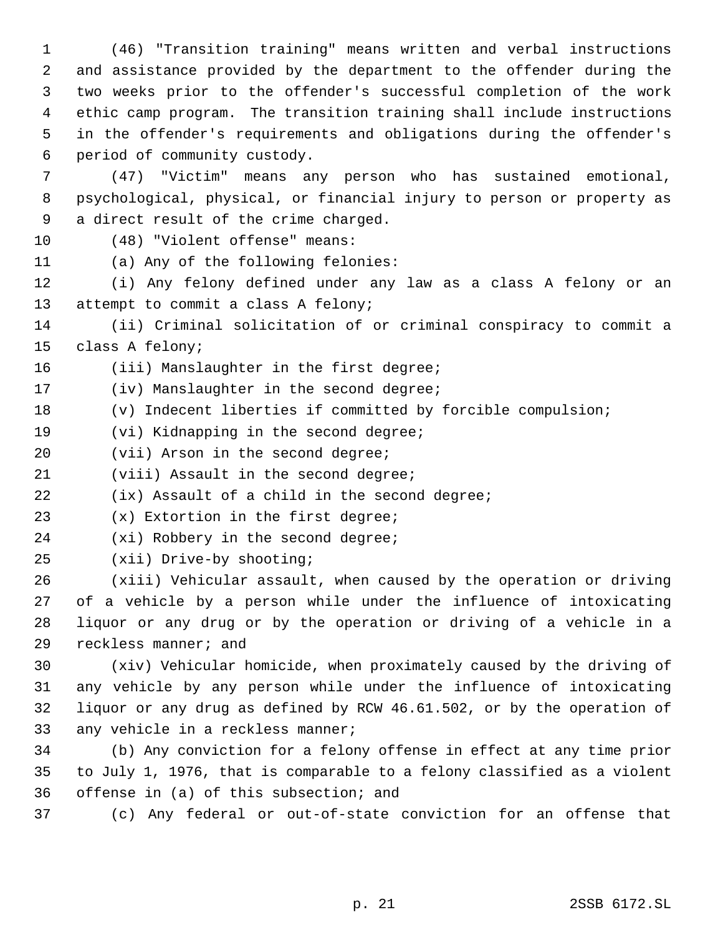(46) "Transition training" means written and verbal instructions and assistance provided by the department to the offender during the two weeks prior to the offender's successful completion of the work ethic camp program. The transition training shall include instructions in the offender's requirements and obligations during the offender's period of community custody.

 (47) "Victim" means any person who has sustained emotional, psychological, physical, or financial injury to person or property as a direct result of the crime charged.

(48) "Violent offense" means:

(a) Any of the following felonies:

 (i) Any felony defined under any law as a class A felony or an 13 attempt to commit a class A felony;

 (ii) Criminal solicitation of or criminal conspiracy to commit a class A felony;

16 (iii) Manslaughter in the first degree;

17 (iv) Manslaughter in the second degree;

- (v) Indecent liberties if committed by forcible compulsion;
- (vi) Kidnapping in the second degree;

20 (vii) Arson in the second degree;

(viii) Assault in the second degree;

(ix) Assault of a child in the second degree;

(x) Extortion in the first degree;

24 (xi) Robbery in the second degree;

(xii) Drive-by shooting;

 (xiii) Vehicular assault, when caused by the operation or driving of a vehicle by a person while under the influence of intoxicating liquor or any drug or by the operation or driving of a vehicle in a reckless manner; and

 (xiv) Vehicular homicide, when proximately caused by the driving of any vehicle by any person while under the influence of intoxicating liquor or any drug as defined by RCW 46.61.502, or by the operation of any vehicle in a reckless manner;

 (b) Any conviction for a felony offense in effect at any time prior to July 1, 1976, that is comparable to a felony classified as a violent offense in (a) of this subsection; and

(c) Any federal or out-of-state conviction for an offense that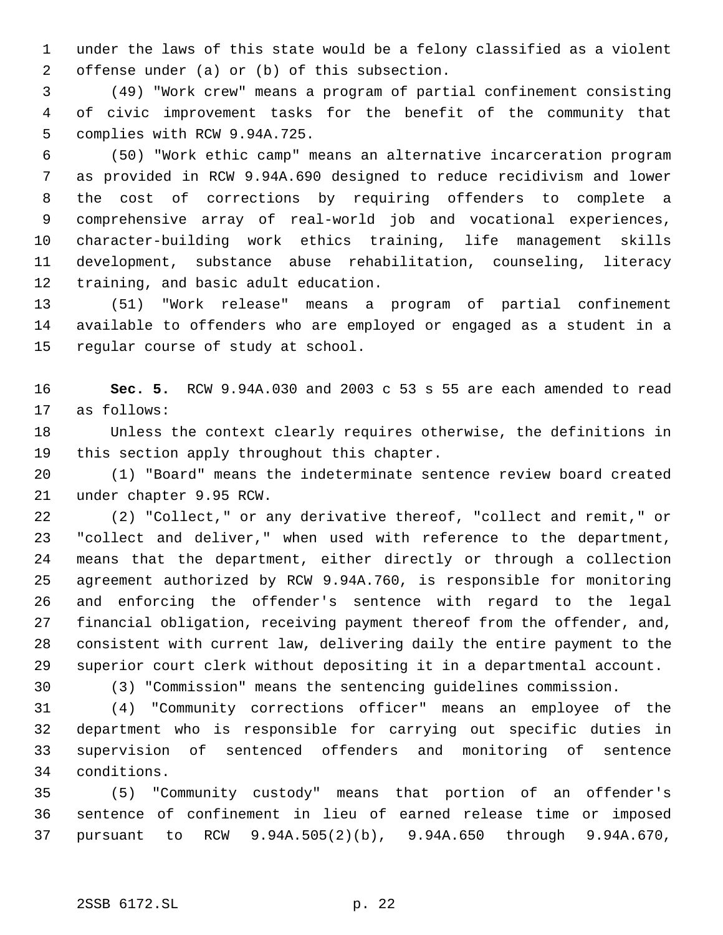under the laws of this state would be a felony classified as a violent offense under (a) or (b) of this subsection.

 (49) "Work crew" means a program of partial confinement consisting of civic improvement tasks for the benefit of the community that complies with RCW 9.94A.725.

 (50) "Work ethic camp" means an alternative incarceration program as provided in RCW 9.94A.690 designed to reduce recidivism and lower the cost of corrections by requiring offenders to complete a comprehensive array of real-world job and vocational experiences, character-building work ethics training, life management skills development, substance abuse rehabilitation, counseling, literacy training, and basic adult education.

 (51) "Work release" means a program of partial confinement available to offenders who are employed or engaged as a student in a regular course of study at school.

 **Sec. 5.** RCW 9.94A.030 and 2003 c 53 s 55 are each amended to read as follows:

 Unless the context clearly requires otherwise, the definitions in this section apply throughout this chapter.

 (1) "Board" means the indeterminate sentence review board created under chapter 9.95 RCW.

 (2) "Collect," or any derivative thereof, "collect and remit," or "collect and deliver," when used with reference to the department, means that the department, either directly or through a collection agreement authorized by RCW 9.94A.760, is responsible for monitoring and enforcing the offender's sentence with regard to the legal financial obligation, receiving payment thereof from the offender, and, consistent with current law, delivering daily the entire payment to the superior court clerk without depositing it in a departmental account.

(3) "Commission" means the sentencing guidelines commission.

 (4) "Community corrections officer" means an employee of the department who is responsible for carrying out specific duties in supervision of sentenced offenders and monitoring of sentence conditions.

 (5) "Community custody" means that portion of an offender's sentence of confinement in lieu of earned release time or imposed pursuant to RCW 9.94A.505(2)(b), 9.94A.650 through 9.94A.670,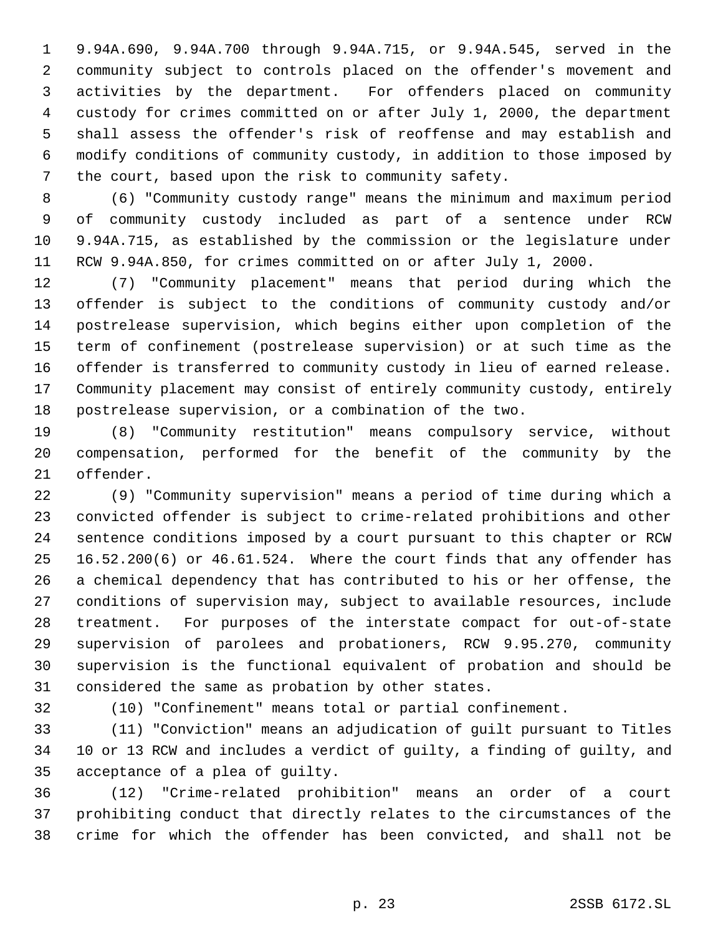9.94A.690, 9.94A.700 through 9.94A.715, or 9.94A.545, served in the community subject to controls placed on the offender's movement and activities by the department. For offenders placed on community custody for crimes committed on or after July 1, 2000, the department shall assess the offender's risk of reoffense and may establish and modify conditions of community custody, in addition to those imposed by the court, based upon the risk to community safety.

 (6) "Community custody range" means the minimum and maximum period of community custody included as part of a sentence under RCW 9.94A.715, as established by the commission or the legislature under RCW 9.94A.850, for crimes committed on or after July 1, 2000.

 (7) "Community placement" means that period during which the offender is subject to the conditions of community custody and/or postrelease supervision, which begins either upon completion of the term of confinement (postrelease supervision) or at such time as the offender is transferred to community custody in lieu of earned release. Community placement may consist of entirely community custody, entirely postrelease supervision, or a combination of the two.

 (8) "Community restitution" means compulsory service, without compensation, performed for the benefit of the community by the offender.

 (9) "Community supervision" means a period of time during which a convicted offender is subject to crime-related prohibitions and other sentence conditions imposed by a court pursuant to this chapter or RCW 16.52.200(6) or 46.61.524. Where the court finds that any offender has a chemical dependency that has contributed to his or her offense, the conditions of supervision may, subject to available resources, include treatment. For purposes of the interstate compact for out-of-state supervision of parolees and probationers, RCW 9.95.270, community supervision is the functional equivalent of probation and should be considered the same as probation by other states.

(10) "Confinement" means total or partial confinement.

 (11) "Conviction" means an adjudication of guilt pursuant to Titles 10 or 13 RCW and includes a verdict of guilty, a finding of guilty, and acceptance of a plea of guilty.

 (12) "Crime-related prohibition" means an order of a court prohibiting conduct that directly relates to the circumstances of the crime for which the offender has been convicted, and shall not be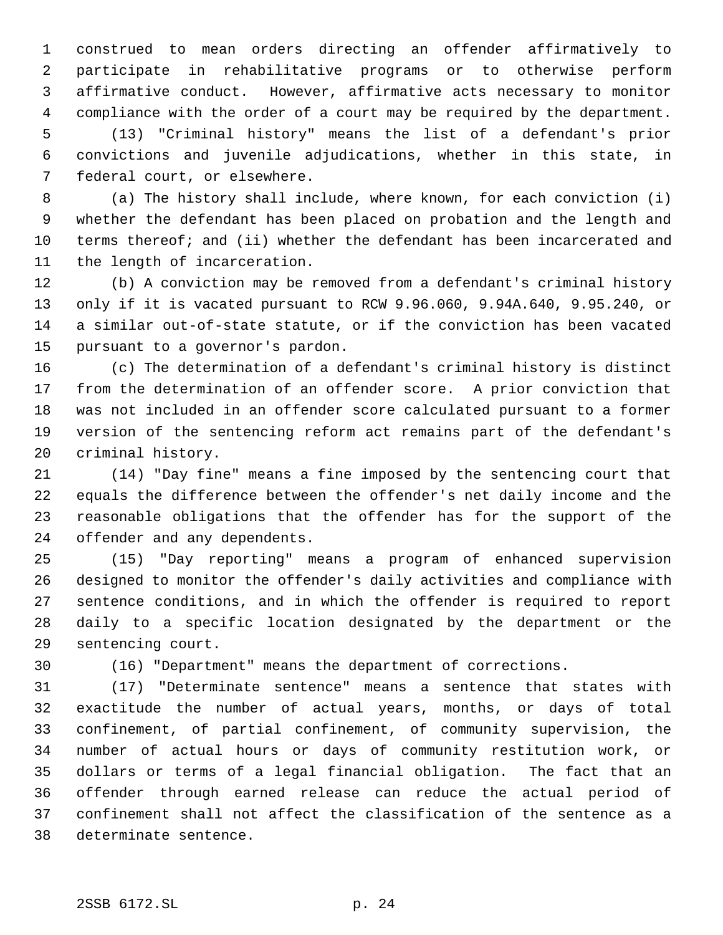construed to mean orders directing an offender affirmatively to participate in rehabilitative programs or to otherwise perform affirmative conduct. However, affirmative acts necessary to monitor compliance with the order of a court may be required by the department. (13) "Criminal history" means the list of a defendant's prior convictions and juvenile adjudications, whether in this state, in federal court, or elsewhere.

 (a) The history shall include, where known, for each conviction (i) whether the defendant has been placed on probation and the length and terms thereof; and (ii) whether the defendant has been incarcerated and the length of incarceration.

 (b) A conviction may be removed from a defendant's criminal history only if it is vacated pursuant to RCW 9.96.060, 9.94A.640, 9.95.240, or a similar out-of-state statute, or if the conviction has been vacated pursuant to a governor's pardon.

 (c) The determination of a defendant's criminal history is distinct from the determination of an offender score. A prior conviction that was not included in an offender score calculated pursuant to a former version of the sentencing reform act remains part of the defendant's criminal history.

 (14) "Day fine" means a fine imposed by the sentencing court that equals the difference between the offender's net daily income and the reasonable obligations that the offender has for the support of the offender and any dependents.

 (15) "Day reporting" means a program of enhanced supervision designed to monitor the offender's daily activities and compliance with sentence conditions, and in which the offender is required to report daily to a specific location designated by the department or the sentencing court.

(16) "Department" means the department of corrections.

 (17) "Determinate sentence" means a sentence that states with exactitude the number of actual years, months, or days of total confinement, of partial confinement, of community supervision, the number of actual hours or days of community restitution work, or dollars or terms of a legal financial obligation. The fact that an offender through earned release can reduce the actual period of confinement shall not affect the classification of the sentence as a determinate sentence.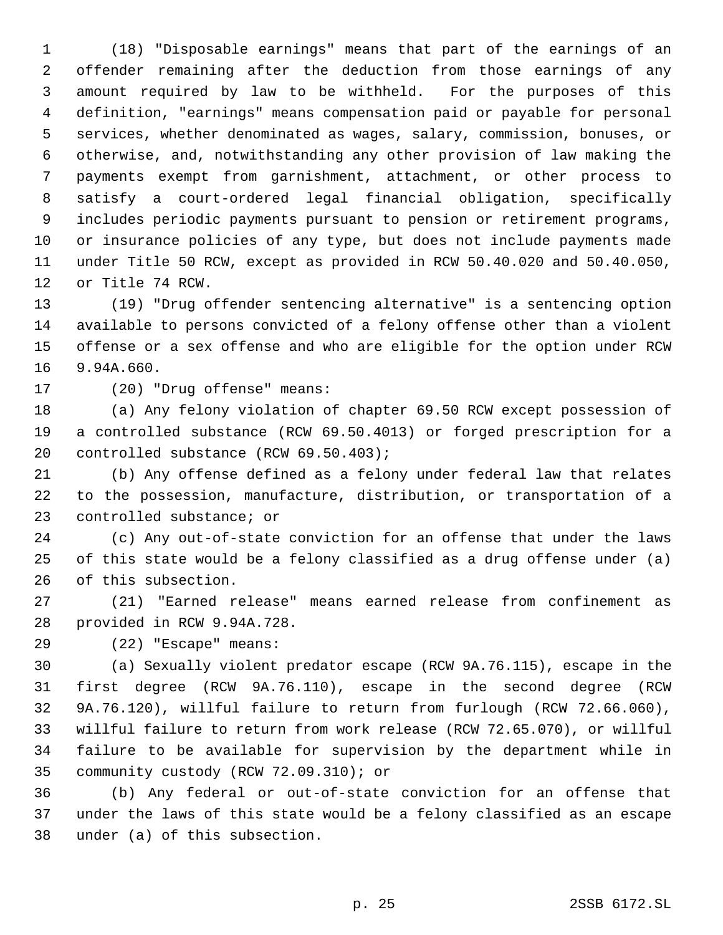(18) "Disposable earnings" means that part of the earnings of an offender remaining after the deduction from those earnings of any amount required by law to be withheld. For the purposes of this definition, "earnings" means compensation paid or payable for personal services, whether denominated as wages, salary, commission, bonuses, or otherwise, and, notwithstanding any other provision of law making the payments exempt from garnishment, attachment, or other process to satisfy a court-ordered legal financial obligation, specifically includes periodic payments pursuant to pension or retirement programs, or insurance policies of any type, but does not include payments made under Title 50 RCW, except as provided in RCW 50.40.020 and 50.40.050, or Title 74 RCW.

 (19) "Drug offender sentencing alternative" is a sentencing option available to persons convicted of a felony offense other than a violent offense or a sex offense and who are eligible for the option under RCW 9.94A.660.

(20) "Drug offense" means:

 (a) Any felony violation of chapter 69.50 RCW except possession of a controlled substance (RCW 69.50.4013) or forged prescription for a controlled substance (RCW 69.50.403);

 (b) Any offense defined as a felony under federal law that relates to the possession, manufacture, distribution, or transportation of a controlled substance; or

 (c) Any out-of-state conviction for an offense that under the laws of this state would be a felony classified as a drug offense under (a) of this subsection.

 (21) "Earned release" means earned release from confinement as provided in RCW 9.94A.728.

(22) "Escape" means:

 (a) Sexually violent predator escape (RCW 9A.76.115), escape in the first degree (RCW 9A.76.110), escape in the second degree (RCW 9A.76.120), willful failure to return from furlough (RCW 72.66.060), willful failure to return from work release (RCW 72.65.070), or willful failure to be available for supervision by the department while in community custody (RCW 72.09.310); or

 (b) Any federal or out-of-state conviction for an offense that under the laws of this state would be a felony classified as an escape under (a) of this subsection.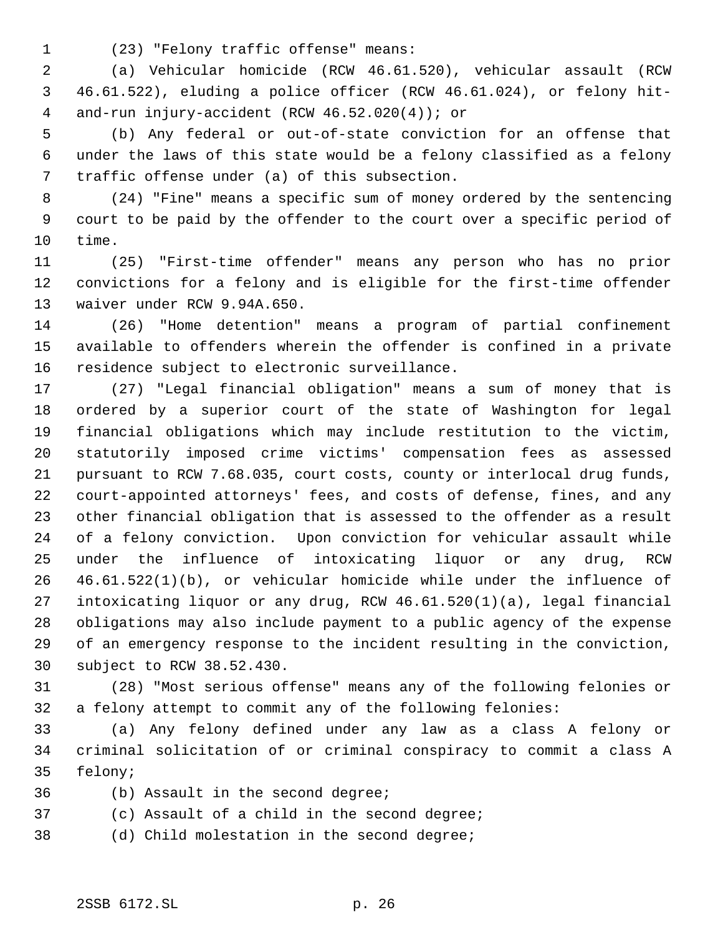(23) "Felony traffic offense" means:

 (a) Vehicular homicide (RCW 46.61.520), vehicular assault (RCW 46.61.522), eluding a police officer (RCW 46.61.024), or felony hit- and-run injury-accident (RCW 46.52.020(4)); or

 (b) Any federal or out-of-state conviction for an offense that under the laws of this state would be a felony classified as a felony traffic offense under (a) of this subsection.

 (24) "Fine" means a specific sum of money ordered by the sentencing court to be paid by the offender to the court over a specific period of time.

 (25) "First-time offender" means any person who has no prior convictions for a felony and is eligible for the first-time offender waiver under RCW 9.94A.650.

 (26) "Home detention" means a program of partial confinement available to offenders wherein the offender is confined in a private residence subject to electronic surveillance.

 (27) "Legal financial obligation" means a sum of money that is ordered by a superior court of the state of Washington for legal financial obligations which may include restitution to the victim, statutorily imposed crime victims' compensation fees as assessed pursuant to RCW 7.68.035, court costs, county or interlocal drug funds, court-appointed attorneys' fees, and costs of defense, fines, and any other financial obligation that is assessed to the offender as a result of a felony conviction. Upon conviction for vehicular assault while under the influence of intoxicating liquor or any drug, RCW 46.61.522(1)(b), or vehicular homicide while under the influence of intoxicating liquor or any drug, RCW 46.61.520(1)(a), legal financial obligations may also include payment to a public agency of the expense of an emergency response to the incident resulting in the conviction, subject to RCW 38.52.430.

 (28) "Most serious offense" means any of the following felonies or a felony attempt to commit any of the following felonies:

 (a) Any felony defined under any law as a class A felony or criminal solicitation of or criminal conspiracy to commit a class A felony;

(b) Assault in the second degree;

(c) Assault of a child in the second degree;

(d) Child molestation in the second degree;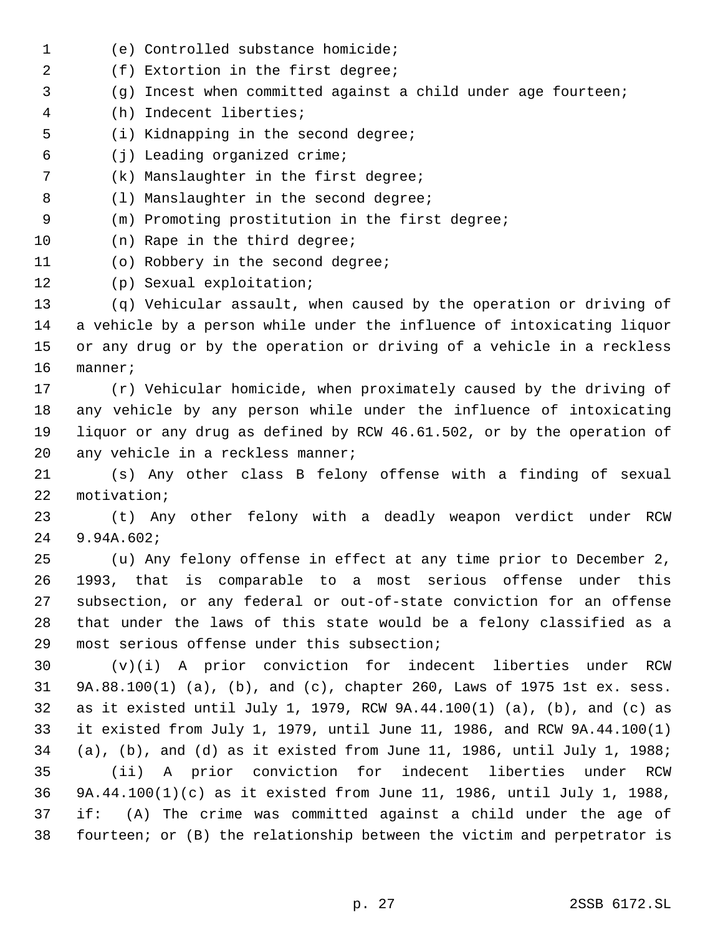(f) Extortion in the first degree; (g) Incest when committed against a child under age fourteen; (h) Indecent liberties; (i) Kidnapping in the second degree; (j) Leading organized crime; (k) Manslaughter in the first degree; 8 (1) Manslaughter in the second degree; (m) Promoting prostitution in the first degree; 10 (n) Rape in the third degree; (o) Robbery in the second degree; (p) Sexual exploitation; (q) Vehicular assault, when caused by the operation or driving of a vehicle by a person while under the influence of intoxicating liquor or any drug or by the operation or driving of a vehicle in a reckless manner; (r) Vehicular homicide, when proximately caused by the driving of any vehicle by any person while under the influence of intoxicating liquor or any drug as defined by RCW 46.61.502, or by the operation of 20 any vehicle in a reckless manner; (s) Any other class B felony offense with a finding of sexual motivation; (t) Any other felony with a deadly weapon verdict under RCW 9.94A.602; (u) Any felony offense in effect at any time prior to December 2, 1993, that is comparable to a most serious offense under this subsection, or any federal or out-of-state conviction for an offense that under the laws of this state would be a felony classified as a most serious offense under this subsection; (v)(i) A prior conviction for indecent liberties under RCW 9A.88.100(1) (a), (b), and (c), chapter 260, Laws of 1975 1st ex. sess. as it existed until July 1, 1979, RCW 9A.44.100(1) (a), (b), and (c) as it existed from July 1, 1979, until June 11, 1986, and RCW 9A.44.100(1) (a), (b), and (d) as it existed from June 11, 1986, until July 1, 1988; (ii) A prior conviction for indecent liberties under RCW 9A.44.100(1)(c) as it existed from June 11, 1986, until July 1, 1988, if: (A) The crime was committed against a child under the age of fourteen; or (B) the relationship between the victim and perpetrator is

(e) Controlled substance homicide;

p. 27 2SSB 6172.SL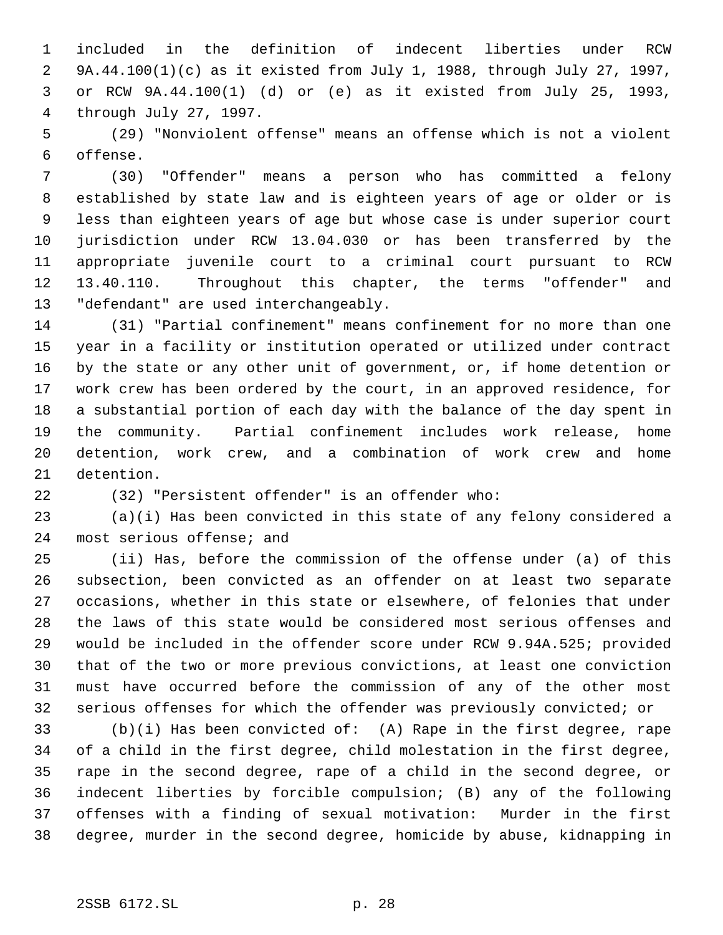included in the definition of indecent liberties under RCW 9A.44.100(1)(c) as it existed from July 1, 1988, through July 27, 1997, or RCW 9A.44.100(1) (d) or (e) as it existed from July 25, 1993, through July 27, 1997.

 (29) "Nonviolent offense" means an offense which is not a violent offense.

 (30) "Offender" means a person who has committed a felony established by state law and is eighteen years of age or older or is less than eighteen years of age but whose case is under superior court jurisdiction under RCW 13.04.030 or has been transferred by the appropriate juvenile court to a criminal court pursuant to RCW 13.40.110. Throughout this chapter, the terms "offender" and "defendant" are used interchangeably.

 (31) "Partial confinement" means confinement for no more than one year in a facility or institution operated or utilized under contract by the state or any other unit of government, or, if home detention or work crew has been ordered by the court, in an approved residence, for a substantial portion of each day with the balance of the day spent in the community. Partial confinement includes work release, home detention, work crew, and a combination of work crew and home detention.

(32) "Persistent offender" is an offender who:

 (a)(i) Has been convicted in this state of any felony considered a most serious offense; and

 (ii) Has, before the commission of the offense under (a) of this subsection, been convicted as an offender on at least two separate occasions, whether in this state or elsewhere, of felonies that under the laws of this state would be considered most serious offenses and would be included in the offender score under RCW 9.94A.525; provided that of the two or more previous convictions, at least one conviction must have occurred before the commission of any of the other most serious offenses for which the offender was previously convicted; or

 (b)(i) Has been convicted of: (A) Rape in the first degree, rape of a child in the first degree, child molestation in the first degree, rape in the second degree, rape of a child in the second degree, or indecent liberties by forcible compulsion; (B) any of the following offenses with a finding of sexual motivation: Murder in the first degree, murder in the second degree, homicide by abuse, kidnapping in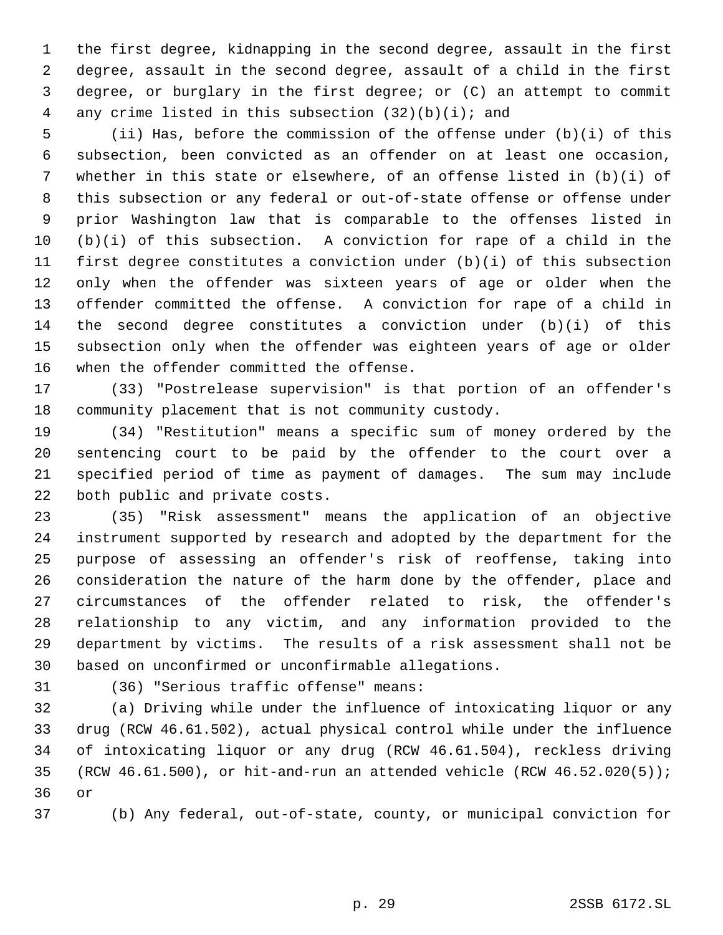the first degree, kidnapping in the second degree, assault in the first degree, assault in the second degree, assault of a child in the first degree, or burglary in the first degree; or (C) an attempt to commit any crime listed in this subsection (32)(b)(i); and

 (ii) Has, before the commission of the offense under (b)(i) of this subsection, been convicted as an offender on at least one occasion, whether in this state or elsewhere, of an offense listed in (b)(i) of this subsection or any federal or out-of-state offense or offense under prior Washington law that is comparable to the offenses listed in (b)(i) of this subsection. A conviction for rape of a child in the first degree constitutes a conviction under (b)(i) of this subsection only when the offender was sixteen years of age or older when the offender committed the offense. A conviction for rape of a child in the second degree constitutes a conviction under (b)(i) of this subsection only when the offender was eighteen years of age or older when the offender committed the offense.

 (33) "Postrelease supervision" is that portion of an offender's community placement that is not community custody.

 (34) "Restitution" means a specific sum of money ordered by the sentencing court to be paid by the offender to the court over a specified period of time as payment of damages. The sum may include both public and private costs.

 (35) "Risk assessment" means the application of an objective instrument supported by research and adopted by the department for the purpose of assessing an offender's risk of reoffense, taking into consideration the nature of the harm done by the offender, place and circumstances of the offender related to risk, the offender's relationship to any victim, and any information provided to the department by victims. The results of a risk assessment shall not be based on unconfirmed or unconfirmable allegations.

(36) "Serious traffic offense" means:

 (a) Driving while under the influence of intoxicating liquor or any drug (RCW 46.61.502), actual physical control while under the influence of intoxicating liquor or any drug (RCW 46.61.504), reckless driving (RCW 46.61.500), or hit-and-run an attended vehicle (RCW 46.52.020(5)); or

(b) Any federal, out-of-state, county, or municipal conviction for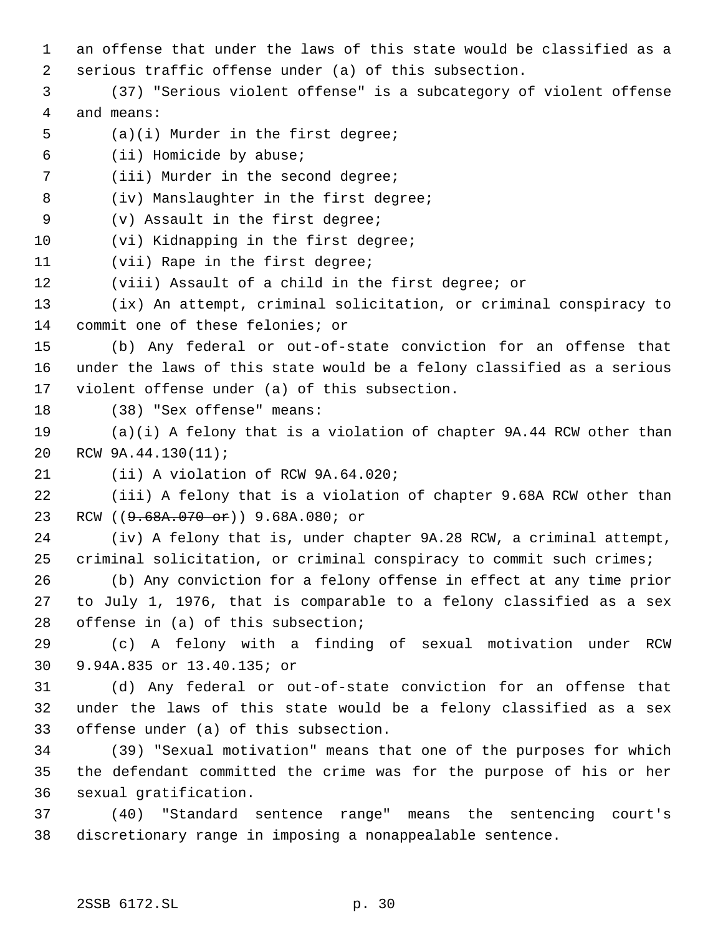- an offense that under the laws of this state would be classified as a serious traffic offense under (a) of this subsection. (37) "Serious violent offense" is a subcategory of violent offense and means: (a)(i) Murder in the first degree; (ii) Homicide by abuse; (iii) Murder in the second degree; 8 (iv) Manslaughter in the first degree; (v) Assault in the first degree; 10 (vi) Kidnapping in the first degree; (vii) Rape in the first degree; (viii) Assault of a child in the first degree; or (ix) An attempt, criminal solicitation, or criminal conspiracy to commit one of these felonies; or (b) Any federal or out-of-state conviction for an offense that under the laws of this state would be a felony classified as a serious violent offense under (a) of this subsection. (38) "Sex offense" means: (a)(i) A felony that is a violation of chapter 9A.44 RCW other than RCW 9A.44.130(11); (ii) A violation of RCW 9A.64.020; (iii) A felony that is a violation of chapter 9.68A RCW other than 23 RCW ((9.68A.070 or)) 9.68A.080; or (iv) A felony that is, under chapter 9A.28 RCW, a criminal attempt, criminal solicitation, or criminal conspiracy to commit such crimes; (b) Any conviction for a felony offense in effect at any time prior
	- to July 1, 1976, that is comparable to a felony classified as a sex offense in (a) of this subsection;

 (c) A felony with a finding of sexual motivation under RCW 9.94A.835 or 13.40.135; or

 (d) Any federal or out-of-state conviction for an offense that under the laws of this state would be a felony classified as a sex offense under (a) of this subsection.

 (39) "Sexual motivation" means that one of the purposes for which the defendant committed the crime was for the purpose of his or her sexual gratification.

 (40) "Standard sentence range" means the sentencing court's discretionary range in imposing a nonappealable sentence.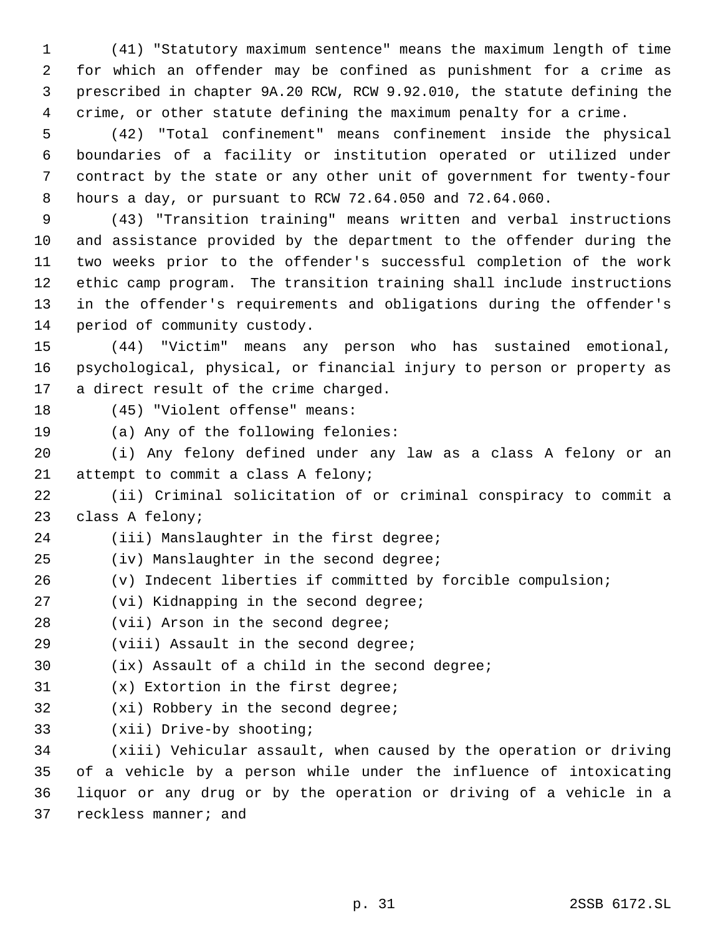(41) "Statutory maximum sentence" means the maximum length of time for which an offender may be confined as punishment for a crime as prescribed in chapter 9A.20 RCW, RCW 9.92.010, the statute defining the crime, or other statute defining the maximum penalty for a crime.

 (42) "Total confinement" means confinement inside the physical boundaries of a facility or institution operated or utilized under contract by the state or any other unit of government for twenty-four hours a day, or pursuant to RCW 72.64.050 and 72.64.060.

 (43) "Transition training" means written and verbal instructions and assistance provided by the department to the offender during the two weeks prior to the offender's successful completion of the work ethic camp program. The transition training shall include instructions in the offender's requirements and obligations during the offender's period of community custody.

 (44) "Victim" means any person who has sustained emotional, psychological, physical, or financial injury to person or property as a direct result of the crime charged.

(45) "Violent offense" means:

(a) Any of the following felonies:

 (i) Any felony defined under any law as a class A felony or an attempt to commit a class A felony;

 (ii) Criminal solicitation of or criminal conspiracy to commit a class A felony;

(iii) Manslaughter in the first degree;

(iv) Manslaughter in the second degree;

(v) Indecent liberties if committed by forcible compulsion;

(vi) Kidnapping in the second degree;

28 (vii) Arson in the second degree;

(viii) Assault in the second degree;

(ix) Assault of a child in the second degree;

(x) Extortion in the first degree;

(xi) Robbery in the second degree;

(xii) Drive-by shooting;

 (xiii) Vehicular assault, when caused by the operation or driving of a vehicle by a person while under the influence of intoxicating liquor or any drug or by the operation or driving of a vehicle in a reckless manner; and